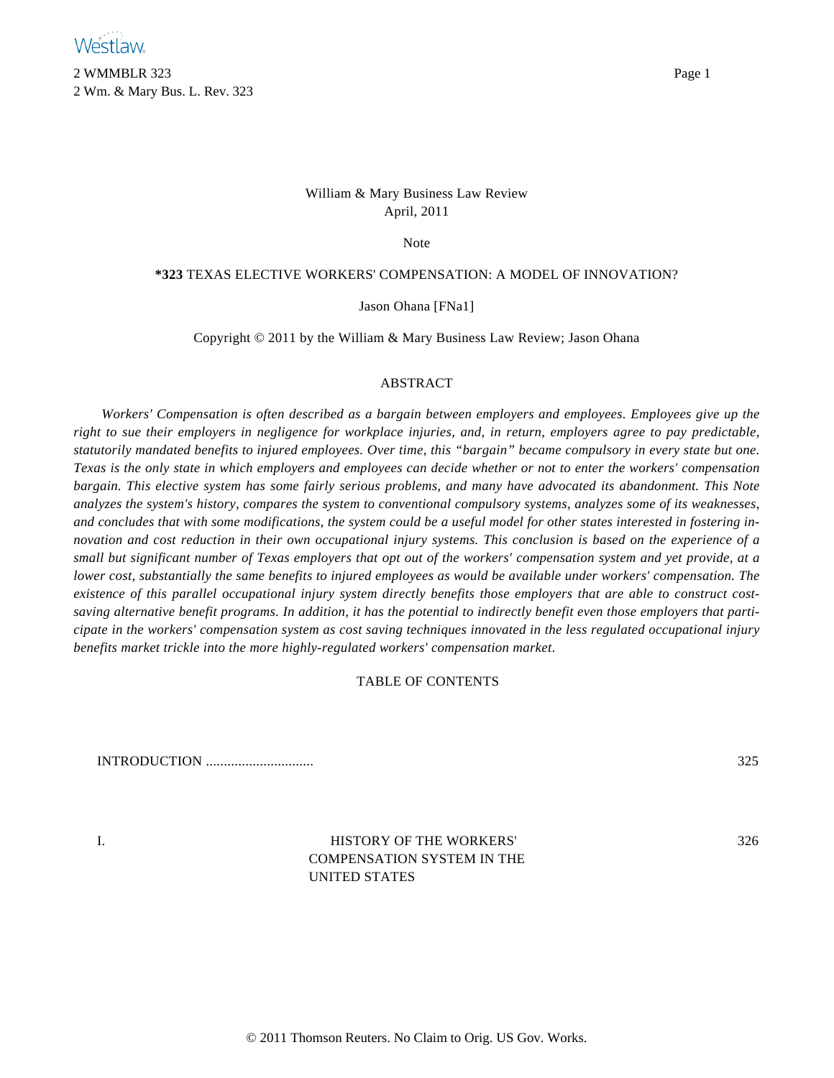2 WMMBLR 323 Page 1 2 Wm. & Mary Bus. L. Rev. 323

# William & Mary Business Law Review April, 2011

Note

# **\*323** TEXAS ELECTIVE WORKERS' COMPENSATION: A MODEL OF INNOVATION?

Jason Ohana [FNa1]

Copyright © 2011 by the William & Mary Business Law Review; Jason Ohana

# ABSTRACT

*Workers' Compensation is often described as a bargain between employers and employees. Employees give up the right to sue their employers in negligence for workplace injuries, and, in return, employers agree to pay predictable, statutorily mandated benefits to injured employees. Over time, this "bargain" became compulsory in every state but one. Texas is the only state in which employers and employees can decide whether or not to enter the workers' compensation bargain. This elective system has some fairly serious problems, and many have advocated its abandonment. This Note analyzes the system's history, compares the system to conventional compulsory systems, analyzes some of its weaknesses, and concludes that with some modifications, the system could be a useful model for other states interested in fostering innovation and cost reduction in their own occupational injury systems. This conclusion is based on the experience of a small but significant number of Texas employers that opt out of the workers' compensation system and yet provide, at a lower cost, substantially the same benefits to injured employees as would be available under workers' compensation. The existence of this parallel occupational injury system directly benefits those employers that are able to construct costsaving alternative benefit programs. In addition, it has the potential to indirectly benefit even those employers that participate in the workers' compensation system as cost saving techniques innovated in the less regulated occupational injury benefits market trickle into the more highly-regulated workers' compensation market*.

# TABLE OF CONTENTS

INTRODUCTION .............................. 325

I. HISTORY OF THE WORKERS' COMPENSATION SYSTEM IN THE UNITED STATES

326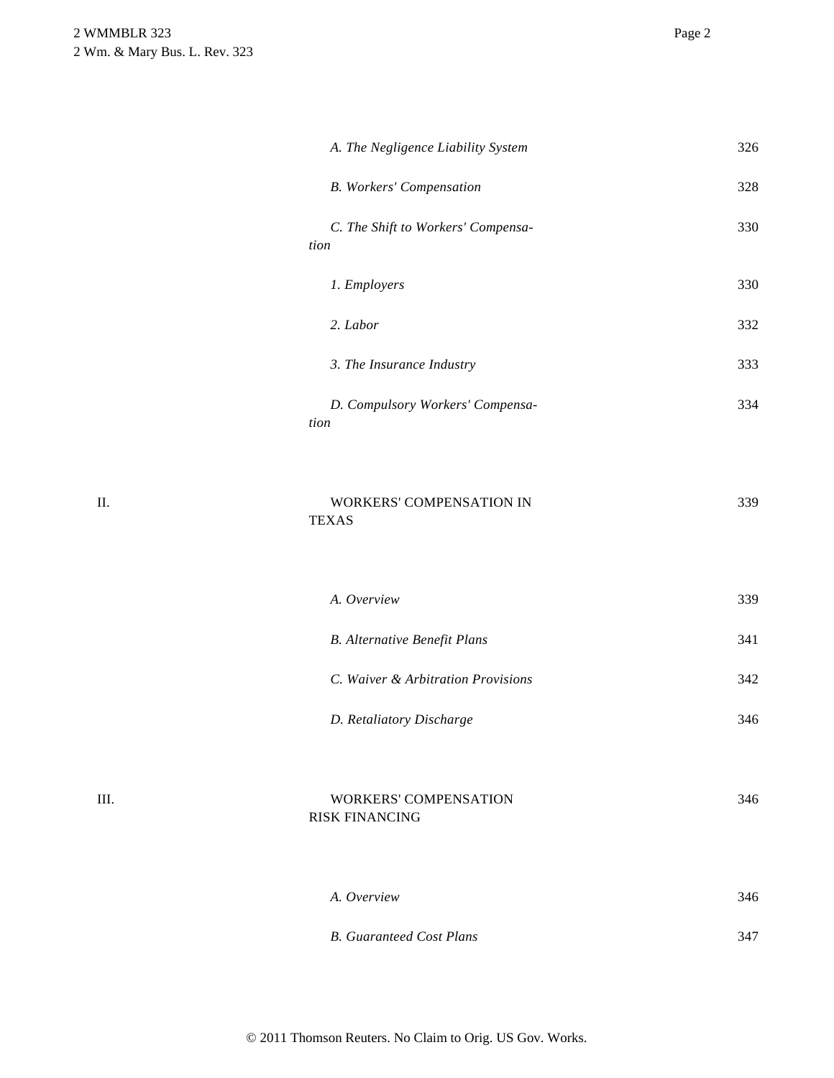|    | A. The Negligence Liability System                    | 326 |
|----|-------------------------------------------------------|-----|
|    | <b>B.</b> Workers' Compensation                       | 328 |
|    | C. The Shift to Workers' Compensa-<br>tion            | 330 |
|    | 1. Employers                                          | 330 |
|    | 2. Labor                                              | 332 |
|    | 3. The Insurance Industry                             | 333 |
|    | D. Compulsory Workers' Compensa-<br>tion              | 334 |
| П. | WORKERS' COMPENSATION IN<br><b>TEXAS</b>              | 339 |
|    | A. Overview                                           | 339 |
|    | <b>B.</b> Alternative Benefit Plans                   | 341 |
|    | C. Waiver & Arbitration Provisions                    | 342 |
|    | D. Retaliatory Discharge                              | 346 |
| Ш. | <b>WORKERS' COMPENSATION</b><br><b>RISK FINANCING</b> | 346 |
|    | A. Overview                                           | 346 |
|    | <b>B.</b> Guaranteed Cost Plans                       | 347 |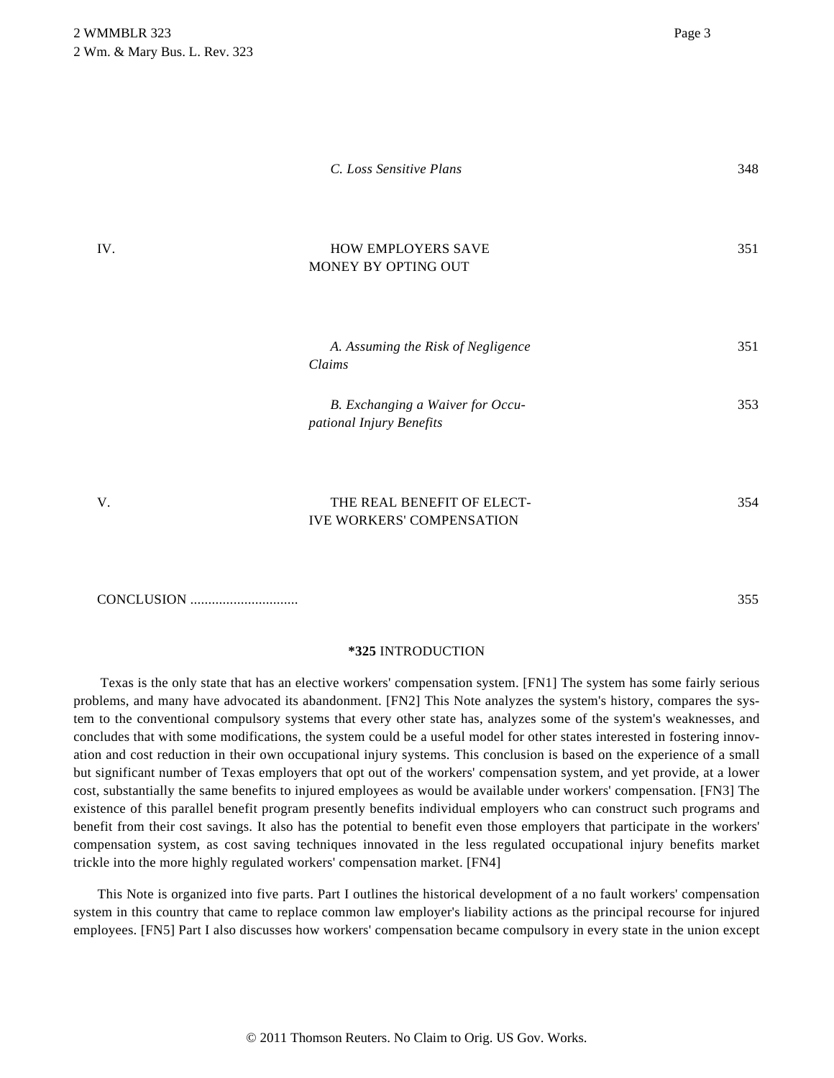|     | C. Loss Sensitive Plans                                      | 348 |
|-----|--------------------------------------------------------------|-----|
| IV. | HOW EMPLOYERS SAVE<br>MONEY BY OPTING OUT                    | 351 |
|     | A. Assuming the Risk of Negligence<br>Claims                 | 351 |
|     | B. Exchanging a Waiver for Occu-<br>pational Injury Benefits | 353 |
| V.  | THE REAL BENEFIT OF ELECT-                                   | 354 |

CONCLUSION .............................. 355

# **\*325** INTRODUCTION

IVE WORKERS' COMPENSATION

Texas is the only state that has an elective workers' compensation system. [FN1] The system has some fairly serious problems, and many have advocated its abandonment. [FN2] This Note analyzes the system's history, compares the system to the conventional compulsory systems that every other state has, analyzes some of the system's weaknesses, and concludes that with some modifications, the system could be a useful model for other states interested in fostering innovation and cost reduction in their own occupational injury systems. This conclusion is based on the experience of a small but significant number of Texas employers that opt out of the workers' compensation system, and yet provide, at a lower cost, substantially the same benefits to injured employees as would be available under workers' compensation. [FN3] The existence of this parallel benefit program presently benefits individual employers who can construct such programs and benefit from their cost savings. It also has the potential to benefit even those employers that participate in the workers' compensation system, as cost saving techniques innovated in the less regulated occupational injury benefits market trickle into the more highly regulated workers' compensation market. [FN4]

This Note is organized into five parts. Part I outlines the historical development of a no fault workers' compensation system in this country that came to replace common law employer's liability actions as the principal recourse for injured employees. [FN5] Part I also discusses how workers' compensation became compulsory in every state in the union except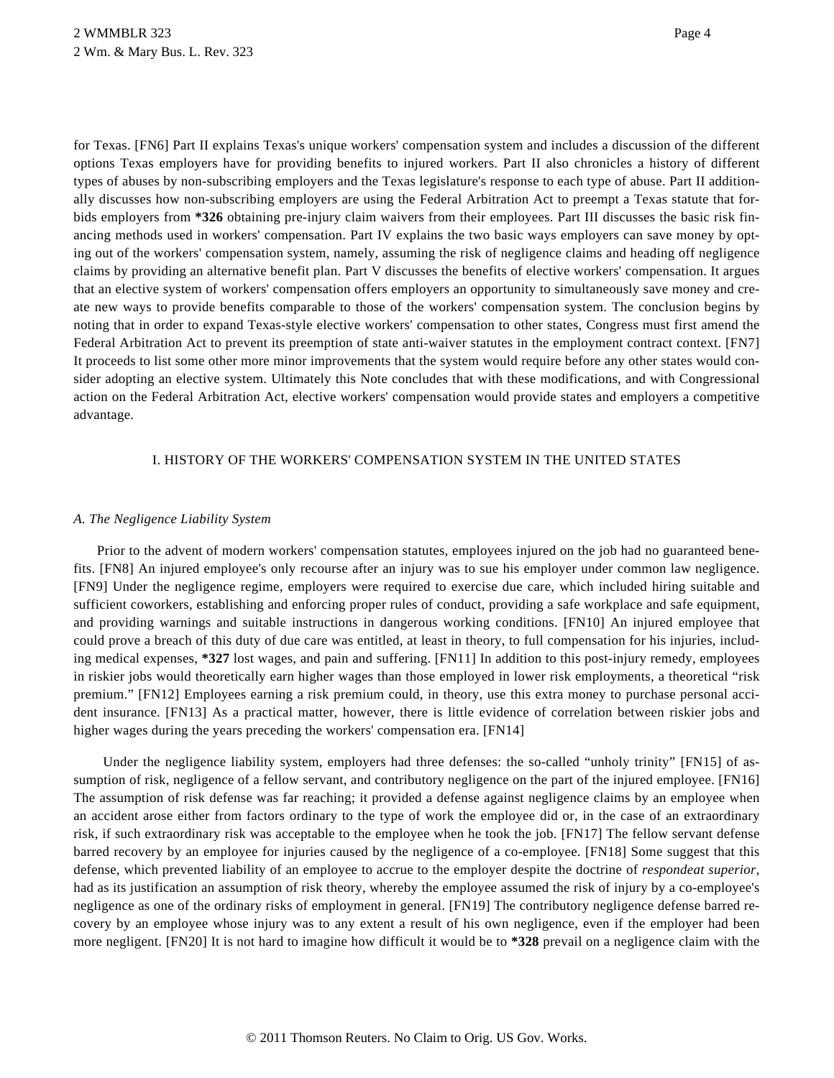for Texas. [FN6] Part II explains Texas's unique workers' compensation system and includes a discussion of the different options Texas employers have for providing benefits to injured workers. Part II also chronicles a history of different types of abuses by non-subscribing employers and the Texas legislature's response to each type of abuse. Part II additionally discusses how non-subscribing employers are using the Federal Arbitration Act to preempt a Texas statute that forbids employers from **\*326** obtaining pre-injury claim waivers from their employees. Part III discusses the basic risk financing methods used in workers' compensation. Part IV explains the two basic ways employers can save money by opting out of the workers' compensation system, namely, assuming the risk of negligence claims and heading off negligence claims by providing an alternative benefit plan. Part V discusses the benefits of elective workers' compensation. It argues that an elective system of workers' compensation offers employers an opportunity to simultaneously save money and create new ways to provide benefits comparable to those of the workers' compensation system. The conclusion begins by noting that in order to expand Texas-style elective workers' compensation to other states, Congress must first amend the Federal Arbitration Act to prevent its preemption of state anti-waiver statutes in the employment contract context. [FN7] It proceeds to list some other more minor improvements that the system would require before any other states would consider adopting an elective system. Ultimately this Note concludes that with these modifications, and with Congressional action on the Federal Arbitration Act, elective workers' compensation would provide states and employers a competitive advantage.

## I. HISTORY OF THE WORKERS' COMPENSATION SYSTEM IN THE UNITED STATES

### *A. The Negligence Liability System*

Prior to the advent of modern workers' compensation statutes, employees injured on the job had no guaranteed benefits. [FN8] An injured employee's only recourse after an injury was to sue his employer under common law negligence. [FN9] Under the negligence regime, employers were required to exercise due care, which included hiring suitable and sufficient coworkers, establishing and enforcing proper rules of conduct, providing a safe workplace and safe equipment, and providing warnings and suitable instructions in dangerous working conditions. [FN10] An injured employee that could prove a breach of this duty of due care was entitled, at least in theory, to full compensation for his injuries, including medical expenses, **\*327** lost wages, and pain and suffering. [FN11] In addition to this post-injury remedy, employees in riskier jobs would theoretically earn higher wages than those employed in lower risk employments, a theoretical "risk premium." [FN12] Employees earning a risk premium could, in theory, use this extra money to purchase personal accident insurance. [FN13] As a practical matter, however, there is little evidence of correlation between riskier jobs and higher wages during the years preceding the workers' compensation era. [FN14]

Under the negligence liability system, employers had three defenses: the so-called "unholy trinity" [FN15] of assumption of risk, negligence of a fellow servant, and contributory negligence on the part of the injured employee. [FN16] The assumption of risk defense was far reaching; it provided a defense against negligence claims by an employee when an accident arose either from factors ordinary to the type of work the employee did or, in the case of an extraordinary risk, if such extraordinary risk was acceptable to the employee when he took the job. [FN17] The fellow servant defense barred recovery by an employee for injuries caused by the negligence of a co-employee. [FN18] Some suggest that this defense, which prevented liability of an employee to accrue to the employer despite the doctrine of *respondeat superior*, had as its justification an assumption of risk theory, whereby the employee assumed the risk of injury by a co-employee's negligence as one of the ordinary risks of employment in general. [FN19] The contributory negligence defense barred recovery by an employee whose injury was to any extent a result of his own negligence, even if the employer had been more negligent. [FN20] It is not hard to imagine how difficult it would be to **\*328** prevail on a negligence claim with the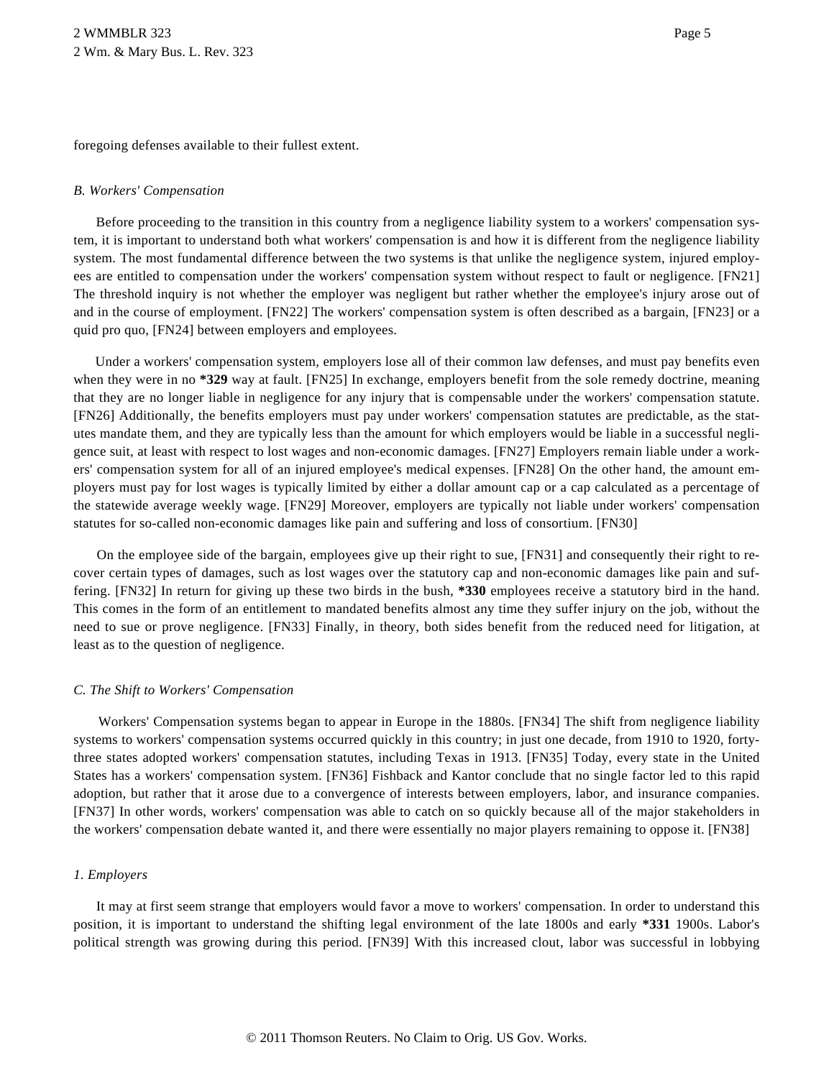foregoing defenses available to their fullest extent.

### *B. Workers' Compensation*

Before proceeding to the transition in this country from a negligence liability system to a workers' compensation system, it is important to understand both what workers' compensation is and how it is different from the negligence liability system. The most fundamental difference between the two systems is that unlike the negligence system, injured employees are entitled to compensation under the workers' compensation system without respect to fault or negligence. [FN21] The threshold inquiry is not whether the employer was negligent but rather whether the employee's injury arose out of and in the course of employment. [FN22] The workers' compensation system is often described as a bargain, [FN23] or a quid pro quo, [FN24] between employers and employees.

Under a workers' compensation system, employers lose all of their common law defenses, and must pay benefits even when they were in no **\*329** way at fault. [FN25] In exchange, employers benefit from the sole remedy doctrine, meaning that they are no longer liable in negligence for any injury that is compensable under the workers' compensation statute. [FN26] Additionally, the benefits employers must pay under workers' compensation statutes are predictable, as the statutes mandate them, and they are typically less than the amount for which employers would be liable in a successful negligence suit, at least with respect to lost wages and non-economic damages. [FN27] Employers remain liable under a workers' compensation system for all of an injured employee's medical expenses. [FN28] On the other hand, the amount employers must pay for lost wages is typically limited by either a dollar amount cap or a cap calculated as a percentage of the statewide average weekly wage. [FN29] Moreover, employers are typically not liable under workers' compensation statutes for so-called non-economic damages like pain and suffering and loss of consortium. [FN30]

On the employee side of the bargain, employees give up their right to sue, [FN31] and consequently their right to recover certain types of damages, such as lost wages over the statutory cap and non-economic damages like pain and suffering. [FN32] In return for giving up these two birds in the bush, **\*330** employees receive a statutory bird in the hand. This comes in the form of an entitlement to mandated benefits almost any time they suffer injury on the job, without the need to sue or prove negligence. [FN33] Finally, in theory, both sides benefit from the reduced need for litigation, at least as to the question of negligence.

# *C. The Shift to Workers' Compensation*

Workers' Compensation systems began to appear in Europe in the 1880s. [FN34] The shift from negligence liability systems to workers' compensation systems occurred quickly in this country; in just one decade, from 1910 to 1920, fortythree states adopted workers' compensation statutes, including Texas in 1913. [FN35] Today, every state in the United States has a workers' compensation system. [FN36] Fishback and Kantor conclude that no single factor led to this rapid adoption, but rather that it arose due to a convergence of interests between employers, labor, and insurance companies. [FN37] In other words, workers' compensation was able to catch on so quickly because all of the major stakeholders in the workers' compensation debate wanted it, and there were essentially no major players remaining to oppose it. [FN38]

# *1. Employers*

It may at first seem strange that employers would favor a move to workers' compensation. In order to understand this position, it is important to understand the shifting legal environment of the late 1800s and early **\*331** 1900s. Labor's political strength was growing during this period. [FN39] With this increased clout, labor was successful in lobbying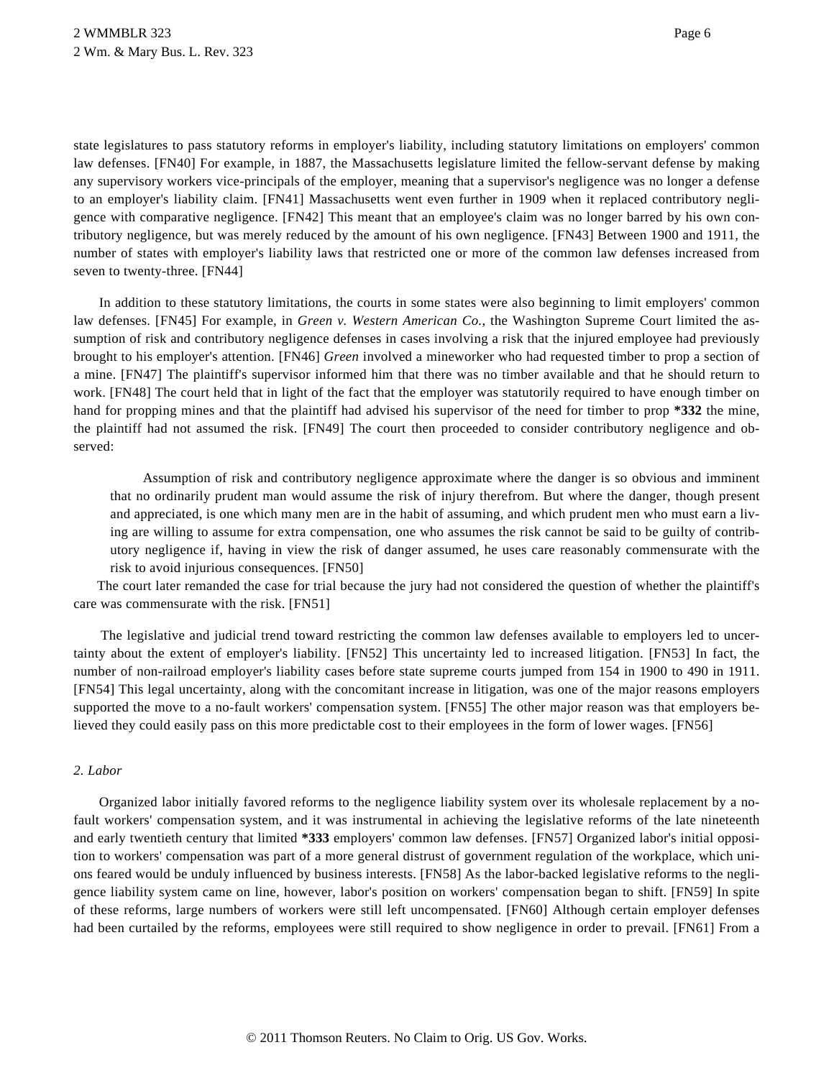state legislatures to pass statutory reforms in employer's liability, including statutory limitations on employers' common law defenses. [FN40] For example, in 1887, the Massachusetts legislature limited the fellow-servant defense by making any supervisory workers vice-principals of the employer, meaning that a supervisor's negligence was no longer a defense to an employer's liability claim. [FN41] Massachusetts went even further in 1909 when it replaced contributory negligence with comparative negligence. [FN42] This meant that an employee's claim was no longer barred by his own contributory negligence, but was merely reduced by the amount of his own negligence. [FN43] Between 1900 and 1911, the number of states with employer's liability laws that restricted one or more of the common law defenses increased from seven to twenty-three. [FN44]

In addition to these statutory limitations, the courts in some states were also beginning to limit employers' common law defenses. [FN45] For example, in *Green v. Western American Co.*, the Washington Supreme Court limited the assumption of risk and contributory negligence defenses in cases involving a risk that the injured employee had previously brought to his employer's attention. [FN46] *Green* involved a mineworker who had requested timber to prop a section of a mine. [FN47] The plaintiff's supervisor informed him that there was no timber available and that he should return to work. [FN48] The court held that in light of the fact that the employer was statutorily required to have enough timber on hand for propping mines and that the plaintiff had advised his supervisor of the need for timber to prop **\*332** the mine, the plaintiff had not assumed the risk. [FN49] The court then proceeded to consider contributory negligence and observed:

Assumption of risk and contributory negligence approximate where the danger is so obvious and imminent that no ordinarily prudent man would assume the risk of injury therefrom. But where the danger, though present and appreciated, is one which many men are in the habit of assuming, and which prudent men who must earn a living are willing to assume for extra compensation, one who assumes the risk cannot be said to be guilty of contributory negligence if, having in view the risk of danger assumed, he uses care reasonably commensurate with the risk to avoid injurious consequences. [FN50]

The court later remanded the case for trial because the jury had not considered the question of whether the plaintiff's care was commensurate with the risk. [FN51]

The legislative and judicial trend toward restricting the common law defenses available to employers led to uncertainty about the extent of employer's liability. [FN52] This uncertainty led to increased litigation. [FN53] In fact, the number of non-railroad employer's liability cases before state supreme courts jumped from 154 in 1900 to 490 in 1911. [FN54] This legal uncertainty, along with the concomitant increase in litigation, was one of the major reasons employers supported the move to a no-fault workers' compensation system. [FN55] The other major reason was that employers believed they could easily pass on this more predictable cost to their employees in the form of lower wages. [FN56]

# *2. Labor*

Organized labor initially favored reforms to the negligence liability system over its wholesale replacement by a nofault workers' compensation system, and it was instrumental in achieving the legislative reforms of the late nineteenth and early twentieth century that limited **\*333** employers' common law defenses. [FN57] Organized labor's initial opposition to workers' compensation was part of a more general distrust of government regulation of the workplace, which unions feared would be unduly influenced by business interests. [FN58] As the labor-backed legislative reforms to the negligence liability system came on line, however, labor's position on workers' compensation began to shift. [FN59] In spite of these reforms, large numbers of workers were still left uncompensated. [FN60] Although certain employer defenses had been curtailed by the reforms, employees were still required to show negligence in order to prevail. [FN61] From a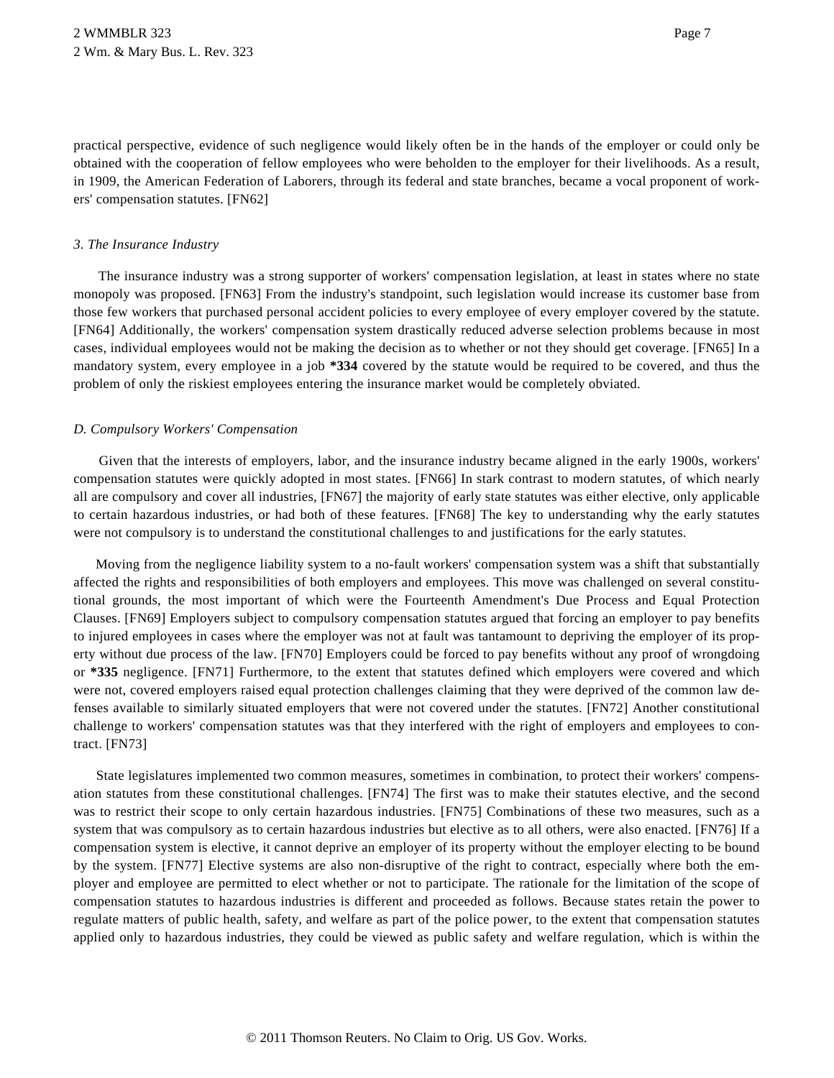practical perspective, evidence of such negligence would likely often be in the hands of the employer or could only be obtained with the cooperation of fellow employees who were beholden to the employer for their livelihoods. As a result, in 1909, the American Federation of Laborers, through its federal and state branches, became a vocal proponent of workers' compensation statutes. [FN62]

## *3. The Insurance Industry*

The insurance industry was a strong supporter of workers' compensation legislation, at least in states where no state monopoly was proposed. [FN63] From the industry's standpoint, such legislation would increase its customer base from those few workers that purchased personal accident policies to every employee of every employer covered by the statute. [FN64] Additionally, the workers' compensation system drastically reduced adverse selection problems because in most cases, individual employees would not be making the decision as to whether or not they should get coverage. [FN65] In a mandatory system, every employee in a job **\*334** covered by the statute would be required to be covered, and thus the problem of only the riskiest employees entering the insurance market would be completely obviated.

### *D. Compulsory Workers' Compensation*

Given that the interests of employers, labor, and the insurance industry became aligned in the early 1900s, workers' compensation statutes were quickly adopted in most states. [FN66] In stark contrast to modern statutes, of which nearly all are compulsory and cover all industries, [FN67] the majority of early state statutes was either elective, only applicable to certain hazardous industries, or had both of these features. [FN68] The key to understanding why the early statutes were not compulsory is to understand the constitutional challenges to and justifications for the early statutes.

Moving from the negligence liability system to a no-fault workers' compensation system was a shift that substantially affected the rights and responsibilities of both employers and employees. This move was challenged on several constitutional grounds, the most important of which were the Fourteenth Amendment's Due Process and Equal Protection Clauses. [FN69] Employers subject to compulsory compensation statutes argued that forcing an employer to pay benefits to injured employees in cases where the employer was not at fault was tantamount to depriving the employer of its property without due process of the law. [FN70] Employers could be forced to pay benefits without any proof of wrongdoing or **\*335** negligence. [FN71] Furthermore, to the extent that statutes defined which employers were covered and which were not, covered employers raised equal protection challenges claiming that they were deprived of the common law defenses available to similarly situated employers that were not covered under the statutes. [FN72] Another constitutional challenge to workers' compensation statutes was that they interfered with the right of employers and employees to contract. [FN73]

State legislatures implemented two common measures, sometimes in combination, to protect their workers' compensation statutes from these constitutional challenges. [FN74] The first was to make their statutes elective, and the second was to restrict their scope to only certain hazardous industries. [FN75] Combinations of these two measures, such as a system that was compulsory as to certain hazardous industries but elective as to all others, were also enacted. [FN76] If a compensation system is elective, it cannot deprive an employer of its property without the employer electing to be bound by the system. [FN77] Elective systems are also non-disruptive of the right to contract, especially where both the employer and employee are permitted to elect whether or not to participate. The rationale for the limitation of the scope of compensation statutes to hazardous industries is different and proceeded as follows. Because states retain the power to regulate matters of public health, safety, and welfare as part of the police power, to the extent that compensation statutes applied only to hazardous industries, they could be viewed as public safety and welfare regulation, which is within the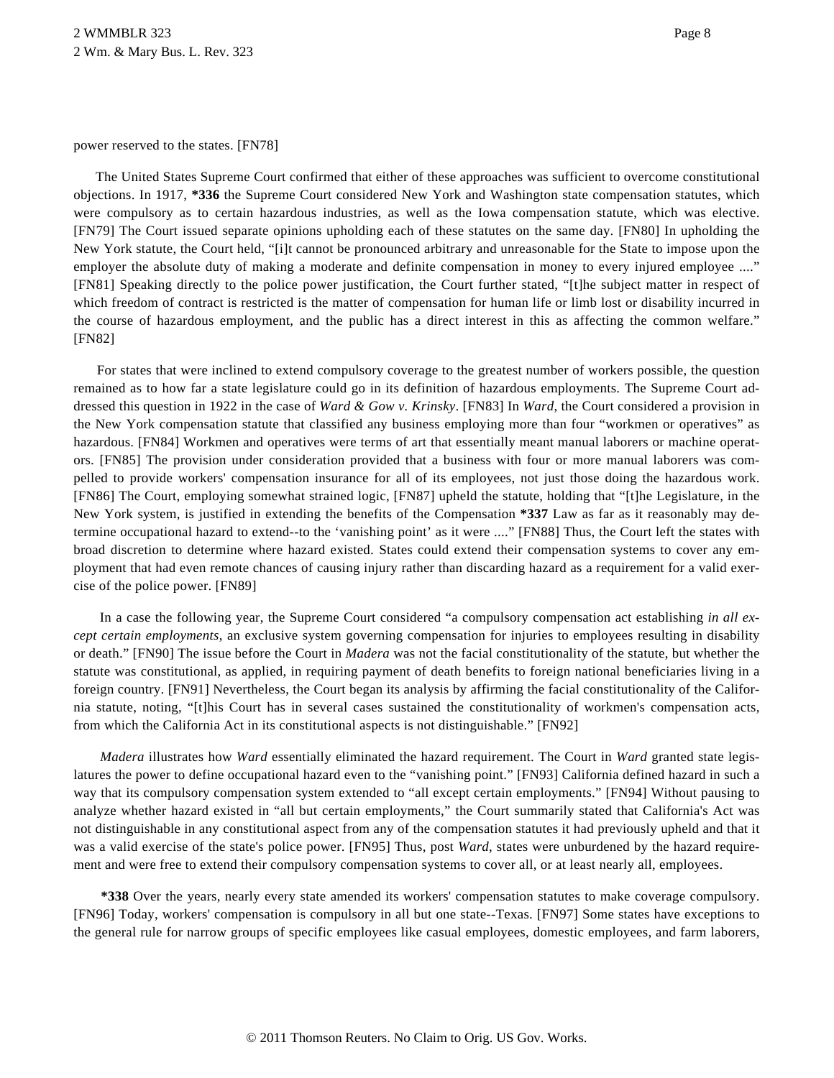power reserved to the states. [FN78]

The United States Supreme Court confirmed that either of these approaches was sufficient to overcome constitutional objections. In 1917, **\*336** the Supreme Court considered New York and Washington state compensation statutes, which were compulsory as to certain hazardous industries, as well as the Iowa compensation statute, which was elective. [FN79] The Court issued separate opinions upholding each of these statutes on the same day. [FN80] In upholding the New York statute, the Court held, "[i]t cannot be pronounced arbitrary and unreasonable for the State to impose upon the employer the absolute duty of making a moderate and definite compensation in money to every injured employee ...." [FN81] Speaking directly to the police power justification, the Court further stated, "[t]he subject matter in respect of which freedom of contract is restricted is the matter of compensation for human life or limb lost or disability incurred in the course of hazardous employment, and the public has a direct interest in this as affecting the common welfare." [FN82]

For states that were inclined to extend compulsory coverage to the greatest number of workers possible, the question remained as to how far a state legislature could go in its definition of hazardous employments. The Supreme Court addressed this question in 1922 in the case of *Ward & Gow v. Krinsky*. [FN83] In *Ward*, the Court considered a provision in the New York compensation statute that classified any business employing more than four "workmen or operatives" as hazardous. [FN84] Workmen and operatives were terms of art that essentially meant manual laborers or machine operators. [FN85] The provision under consideration provided that a business with four or more manual laborers was compelled to provide workers' compensation insurance for all of its employees, not just those doing the hazardous work. [FN86] The Court, employing somewhat strained logic, [FN87] upheld the statute, holding that "[t]he Legislature, in the New York system, is justified in extending the benefits of the Compensation **\*337** Law as far as it reasonably may determine occupational hazard to extend--to the 'vanishing point' as it were ...." [FN88] Thus, the Court left the states with broad discretion to determine where hazard existed. States could extend their compensation systems to cover any employment that had even remote chances of causing injury rather than discarding hazard as a requirement for a valid exercise of the police power. [FN89]

In a case the following year, the Supreme Court considered "a compulsory compensation act establishing *in all except certain employments*, an exclusive system governing compensation for injuries to employees resulting in disability or death." [FN90] The issue before the Court in *Madera* was not the facial constitutionality of the statute, but whether the statute was constitutional, as applied, in requiring payment of death benefits to foreign national beneficiaries living in a foreign country. [FN91] Nevertheless, the Court began its analysis by affirming the facial constitutionality of the California statute, noting, "[t]his Court has in several cases sustained the constitutionality of workmen's compensation acts, from which the California Act in its constitutional aspects is not distinguishable." [FN92]

*Madera* illustrates how *Ward* essentially eliminated the hazard requirement. The Court in *Ward* granted state legislatures the power to define occupational hazard even to the "vanishing point." [FN93] California defined hazard in such a way that its compulsory compensation system extended to "all except certain employments." [FN94] Without pausing to analyze whether hazard existed in "all but certain employments," the Court summarily stated that California's Act was not distinguishable in any constitutional aspect from any of the compensation statutes it had previously upheld and that it was a valid exercise of the state's police power. [FN95] Thus, post *Ward*, states were unburdened by the hazard requirement and were free to extend their compulsory compensation systems to cover all, or at least nearly all, employees.

**\*338** Over the years, nearly every state amended its workers' compensation statutes to make coverage compulsory. [FN96] Today, workers' compensation is compulsory in all but one state--Texas. [FN97] Some states have exceptions to the general rule for narrow groups of specific employees like casual employees, domestic employees, and farm laborers,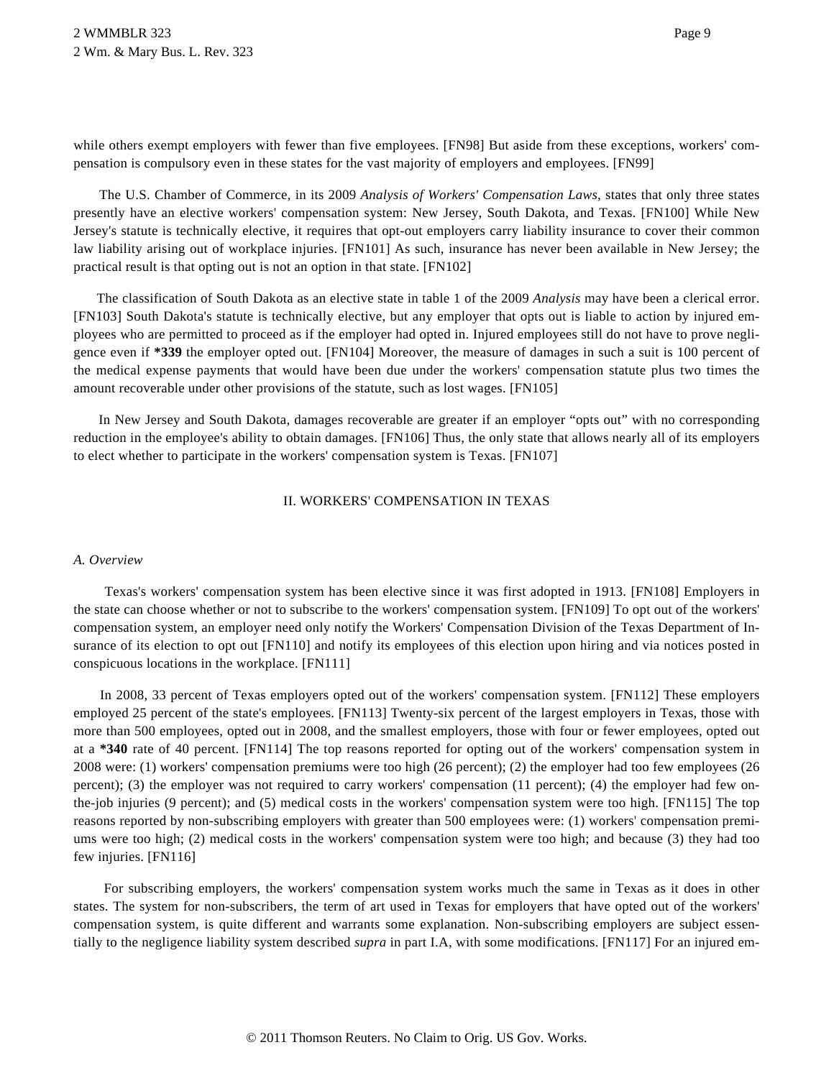while others exempt employers with fewer than five employees. [FN98] But aside from these exceptions, workers' compensation is compulsory even in these states for the vast majority of employers and employees. [FN99]

The U.S. Chamber of Commerce, in its 2009 *Analysis of Workers' Compensation Laws*, states that only three states presently have an elective workers' compensation system: New Jersey, South Dakota, and Texas. [FN100] While New Jersey's statute is technically elective, it requires that opt-out employers carry liability insurance to cover their common law liability arising out of workplace injuries. [FN101] As such, insurance has never been available in New Jersey; the practical result is that opting out is not an option in that state. [FN102]

The classification of South Dakota as an elective state in table 1 of the 2009 *Analysis* may have been a clerical error. [FN103] South Dakota's statute is technically elective, but any employer that opts out is liable to action by injured employees who are permitted to proceed as if the employer had opted in. Injured employees still do not have to prove negligence even if **\*339** the employer opted out. [FN104] Moreover, the measure of damages in such a suit is 100 percent of the medical expense payments that would have been due under the workers' compensation statute plus two times the amount recoverable under other provisions of the statute, such as lost wages. [FN105]

In New Jersey and South Dakota, damages recoverable are greater if an employer "opts out" with no corresponding reduction in the employee's ability to obtain damages. [FN106] Thus, the only state that allows nearly all of its employers to elect whether to participate in the workers' compensation system is Texas. [FN107]

# II. WORKERS' COMPENSATION IN TEXAS

### *A. Overview*

Texas's workers' compensation system has been elective since it was first adopted in 1913. [FN108] Employers in the state can choose whether or not to subscribe to the workers' compensation system. [FN109] To opt out of the workers' compensation system, an employer need only notify the Workers' Compensation Division of the Texas Department of Insurance of its election to opt out [FN110] and notify its employees of this election upon hiring and via notices posted in conspicuous locations in the workplace. [FN111]

In 2008, 33 percent of Texas employers opted out of the workers' compensation system. [FN112] These employers employed 25 percent of the state's employees. [FN113] Twenty-six percent of the largest employers in Texas, those with more than 500 employees, opted out in 2008, and the smallest employers, those with four or fewer employees, opted out at a **\*340** rate of 40 percent. [FN114] The top reasons reported for opting out of the workers' compensation system in 2008 were: (1) workers' compensation premiums were too high (26 percent); (2) the employer had too few employees (26 percent); (3) the employer was not required to carry workers' compensation (11 percent); (4) the employer had few onthe-job injuries (9 percent); and (5) medical costs in the workers' compensation system were too high. [FN115] The top reasons reported by non-subscribing employers with greater than 500 employees were: (1) workers' compensation premiums were too high; (2) medical costs in the workers' compensation system were too high; and because (3) they had too few injuries. [FN116]

For subscribing employers, the workers' compensation system works much the same in Texas as it does in other states. The system for non-subscribers, the term of art used in Texas for employers that have opted out of the workers' compensation system, is quite different and warrants some explanation. Non-subscribing employers are subject essentially to the negligence liability system described *supra* in part I.A, with some modifications. [FN117] For an injured em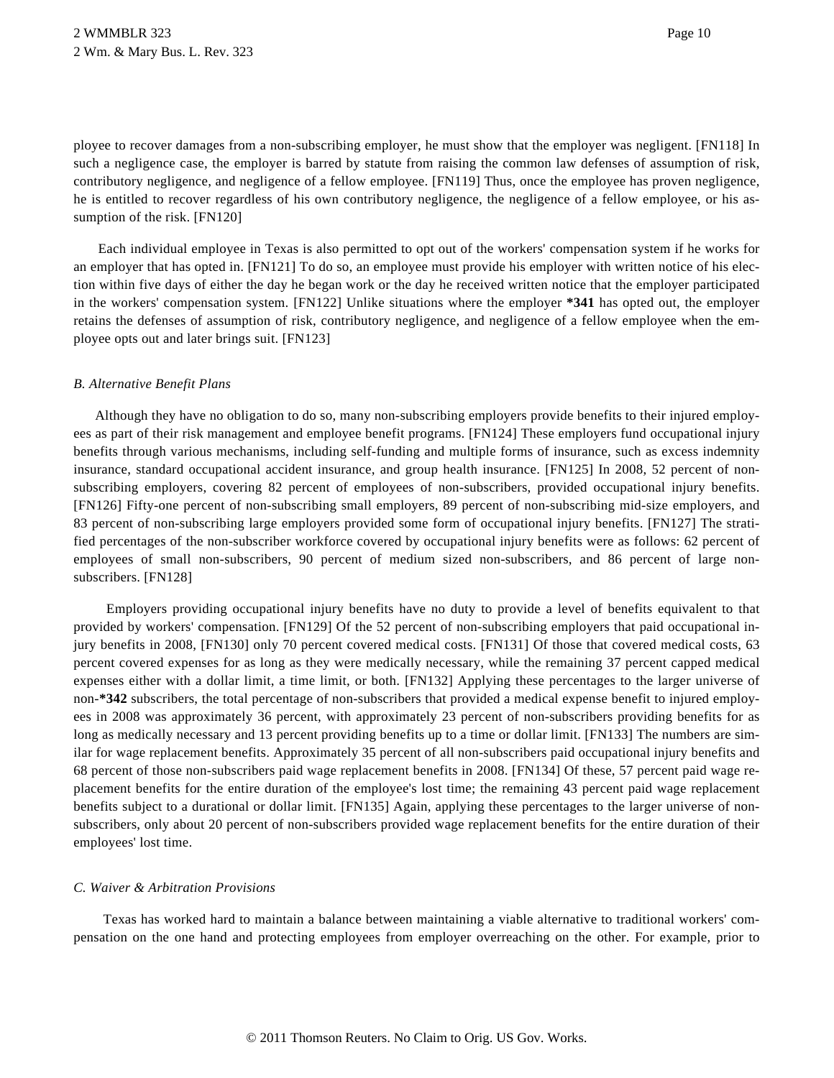ployee to recover damages from a non-subscribing employer, he must show that the employer was negligent. [FN118] In such a negligence case, the employer is barred by statute from raising the common law defenses of assumption of risk, contributory negligence, and negligence of a fellow employee. [FN119] Thus, once the employee has proven negligence, he is entitled to recover regardless of his own contributory negligence, the negligence of a fellow employee, or his assumption of the risk. [FN120]

Each individual employee in Texas is also permitted to opt out of the workers' compensation system if he works for an employer that has opted in. [FN121] To do so, an employee must provide his employer with written notice of his election within five days of either the day he began work or the day he received written notice that the employer participated in the workers' compensation system. [FN122] Unlike situations where the employer **\*341** has opted out, the employer retains the defenses of assumption of risk, contributory negligence, and negligence of a fellow employee when the employee opts out and later brings suit. [FN123]

## *B. Alternative Benefit Plans*

Although they have no obligation to do so, many non-subscribing employers provide benefits to their injured employees as part of their risk management and employee benefit programs. [FN124] These employers fund occupational injury benefits through various mechanisms, including self-funding and multiple forms of insurance, such as excess indemnity insurance, standard occupational accident insurance, and group health insurance. [FN125] In 2008, 52 percent of nonsubscribing employers, covering 82 percent of employees of non-subscribers, provided occupational injury benefits. [FN126] Fifty-one percent of non-subscribing small employers, 89 percent of non-subscribing mid-size employers, and 83 percent of non-subscribing large employers provided some form of occupational injury benefits. [FN127] The stratified percentages of the non-subscriber workforce covered by occupational injury benefits were as follows: 62 percent of employees of small non-subscribers, 90 percent of medium sized non-subscribers, and 86 percent of large nonsubscribers. [FN128]

Employers providing occupational injury benefits have no duty to provide a level of benefits equivalent to that provided by workers' compensation. [FN129] Of the 52 percent of non-subscribing employers that paid occupational injury benefits in 2008, [FN130] only 70 percent covered medical costs. [FN131] Of those that covered medical costs, 63 percent covered expenses for as long as they were medically necessary, while the remaining 37 percent capped medical expenses either with a dollar limit, a time limit, or both. [FN132] Applying these percentages to the larger universe of non-**\*342** subscribers, the total percentage of non-subscribers that provided a medical expense benefit to injured employees in 2008 was approximately 36 percent, with approximately 23 percent of non-subscribers providing benefits for as long as medically necessary and 13 percent providing benefits up to a time or dollar limit. [FN133] The numbers are similar for wage replacement benefits. Approximately 35 percent of all non-subscribers paid occupational injury benefits and 68 percent of those non-subscribers paid wage replacement benefits in 2008. [FN134] Of these, 57 percent paid wage replacement benefits for the entire duration of the employee's lost time; the remaining 43 percent paid wage replacement benefits subject to a durational or dollar limit. [FN135] Again, applying these percentages to the larger universe of nonsubscribers, only about 20 percent of non-subscribers provided wage replacement benefits for the entire duration of their employees' lost time.

### *C. Waiver & Arbitration Provisions*

Texas has worked hard to maintain a balance between maintaining a viable alternative to traditional workers' compensation on the one hand and protecting employees from employer overreaching on the other. For example, prior to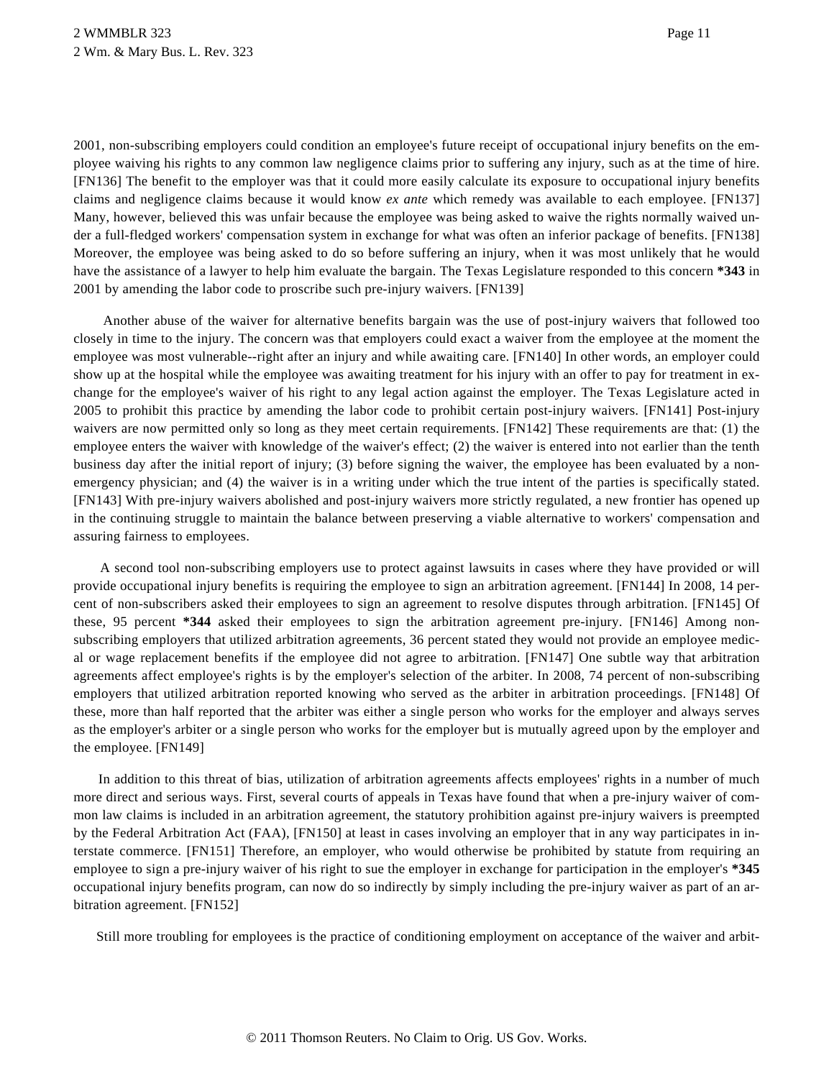2001, non-subscribing employers could condition an employee's future receipt of occupational injury benefits on the employee waiving his rights to any common law negligence claims prior to suffering any injury, such as at the time of hire. [FN136] The benefit to the employer was that it could more easily calculate its exposure to occupational injury benefits claims and negligence claims because it would know *ex ante* which remedy was available to each employee. [FN137] Many, however, believed this was unfair because the employee was being asked to waive the rights normally waived under a full-fledged workers' compensation system in exchange for what was often an inferior package of benefits. [FN138] Moreover, the employee was being asked to do so before suffering an injury, when it was most unlikely that he would have the assistance of a lawyer to help him evaluate the bargain. The Texas Legislature responded to this concern **\*343** in 2001 by amending the labor code to proscribe such pre-injury waivers. [FN139]

Another abuse of the waiver for alternative benefits bargain was the use of post-injury waivers that followed too closely in time to the injury. The concern was that employers could exact a waiver from the employee at the moment the employee was most vulnerable--right after an injury and while awaiting care. [FN140] In other words, an employer could show up at the hospital while the employee was awaiting treatment for his injury with an offer to pay for treatment in exchange for the employee's waiver of his right to any legal action against the employer. The Texas Legislature acted in 2005 to prohibit this practice by amending the labor code to prohibit certain post-injury waivers. [FN141] Post-injury waivers are now permitted only so long as they meet certain requirements. [FN142] These requirements are that: (1) the employee enters the waiver with knowledge of the waiver's effect; (2) the waiver is entered into not earlier than the tenth business day after the initial report of injury; (3) before signing the waiver, the employee has been evaluated by a nonemergency physician; and (4) the waiver is in a writing under which the true intent of the parties is specifically stated. [FN143] With pre-injury waivers abolished and post-injury waivers more strictly regulated, a new frontier has opened up in the continuing struggle to maintain the balance between preserving a viable alternative to workers' compensation and assuring fairness to employees.

A second tool non-subscribing employers use to protect against lawsuits in cases where they have provided or will provide occupational injury benefits is requiring the employee to sign an arbitration agreement. [FN144] In 2008, 14 percent of non-subscribers asked their employees to sign an agreement to resolve disputes through arbitration. [FN145] Of these, 95 percent **\*344** asked their employees to sign the arbitration agreement pre-injury. [FN146] Among nonsubscribing employers that utilized arbitration agreements, 36 percent stated they would not provide an employee medical or wage replacement benefits if the employee did not agree to arbitration. [FN147] One subtle way that arbitration agreements affect employee's rights is by the employer's selection of the arbiter. In 2008, 74 percent of non-subscribing employers that utilized arbitration reported knowing who served as the arbiter in arbitration proceedings. [FN148] Of these, more than half reported that the arbiter was either a single person who works for the employer and always serves as the employer's arbiter or a single person who works for the employer but is mutually agreed upon by the employer and the employee. [FN149]

In addition to this threat of bias, utilization of arbitration agreements affects employees' rights in a number of much more direct and serious ways. First, several courts of appeals in Texas have found that when a pre-injury waiver of common law claims is included in an arbitration agreement, the statutory prohibition against pre-injury waivers is preempted by the Federal Arbitration Act (FAA), [FN150] at least in cases involving an employer that in any way participates in interstate commerce. [FN151] Therefore, an employer, who would otherwise be prohibited by statute from requiring an employee to sign a pre-injury waiver of his right to sue the employer in exchange for participation in the employer's **\*345** occupational injury benefits program, can now do so indirectly by simply including the pre-injury waiver as part of an arbitration agreement. [FN152]

Still more troubling for employees is the practice of conditioning employment on acceptance of the waiver and arbit-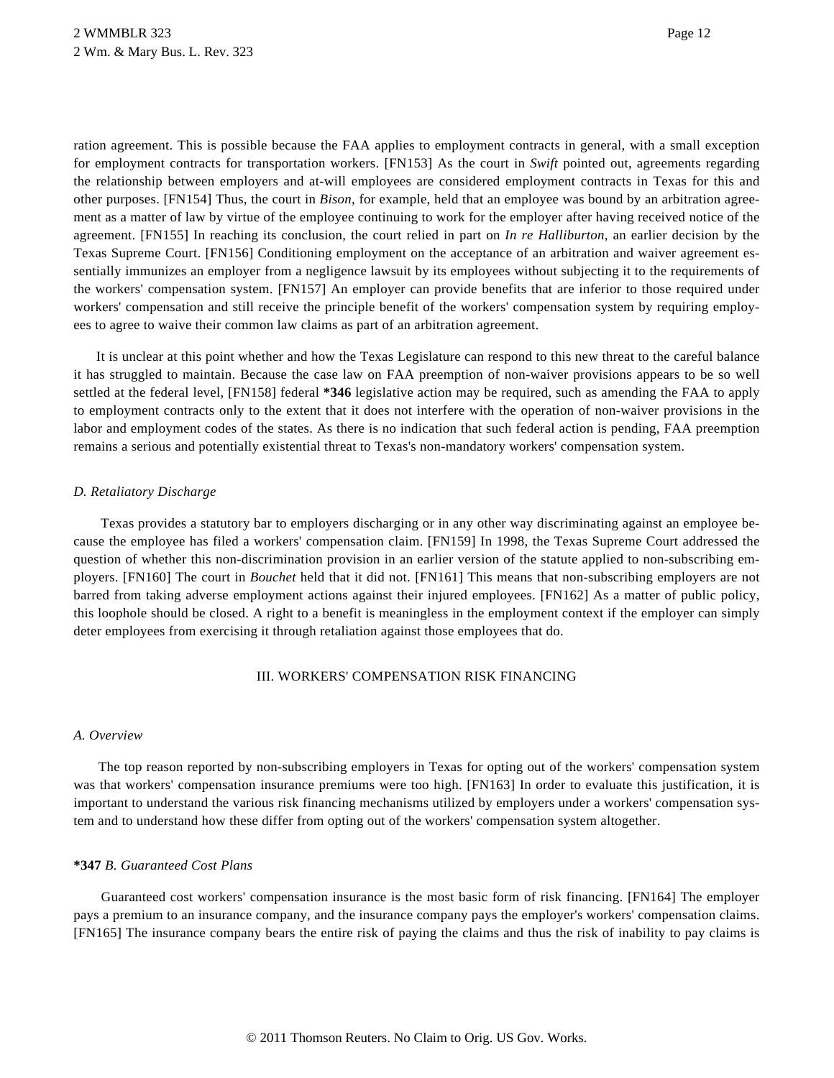ration agreement. This is possible because the FAA applies to employment contracts in general, with a small exception for employment contracts for transportation workers. [FN153] As the court in *Swift* pointed out, agreements regarding the relationship between employers and at-will employees are considered employment contracts in Texas for this and other purposes. [FN154] Thus, the court in *Bison*, for example, held that an employee was bound by an arbitration agreement as a matter of law by virtue of the employee continuing to work for the employer after having received notice of the agreement. [FN155] In reaching its conclusion, the court relied in part on *In re Halliburton*, an earlier decision by the Texas Supreme Court. [FN156] Conditioning employment on the acceptance of an arbitration and waiver agreement essentially immunizes an employer from a negligence lawsuit by its employees without subjecting it to the requirements of the workers' compensation system. [FN157] An employer can provide benefits that are inferior to those required under workers' compensation and still receive the principle benefit of the workers' compensation system by requiring employees to agree to waive their common law claims as part of an arbitration agreement.

It is unclear at this point whether and how the Texas Legislature can respond to this new threat to the careful balance it has struggled to maintain. Because the case law on FAA preemption of non-waiver provisions appears to be so well settled at the federal level, [FN158] federal **\*346** legislative action may be required, such as amending the FAA to apply to employment contracts only to the extent that it does not interfere with the operation of non-waiver provisions in the labor and employment codes of the states. As there is no indication that such federal action is pending, FAA preemption remains a serious and potentially existential threat to Texas's non-mandatory workers' compensation system.

## *D. Retaliatory Discharge*

Texas provides a statutory bar to employers discharging or in any other way discriminating against an employee because the employee has filed a workers' compensation claim. [FN159] In 1998, the Texas Supreme Court addressed the question of whether this non-discrimination provision in an earlier version of the statute applied to non-subscribing employers. [FN160] The court in *Bouchet* held that it did not. [FN161] This means that non-subscribing employers are not barred from taking adverse employment actions against their injured employees. [FN162] As a matter of public policy, this loophole should be closed. A right to a benefit is meaningless in the employment context if the employer can simply deter employees from exercising it through retaliation against those employees that do.

## III. WORKERS' COMPENSATION RISK FINANCING

### *A. Overview*

The top reason reported by non-subscribing employers in Texas for opting out of the workers' compensation system was that workers' compensation insurance premiums were too high. [FN163] In order to evaluate this justification, it is important to understand the various risk financing mechanisms utilized by employers under a workers' compensation system and to understand how these differ from opting out of the workers' compensation system altogether.

### **\*347** *B. Guaranteed Cost Plans*

Guaranteed cost workers' compensation insurance is the most basic form of risk financing. [FN164] The employer pays a premium to an insurance company, and the insurance company pays the employer's workers' compensation claims. [FN165] The insurance company bears the entire risk of paying the claims and thus the risk of inability to pay claims is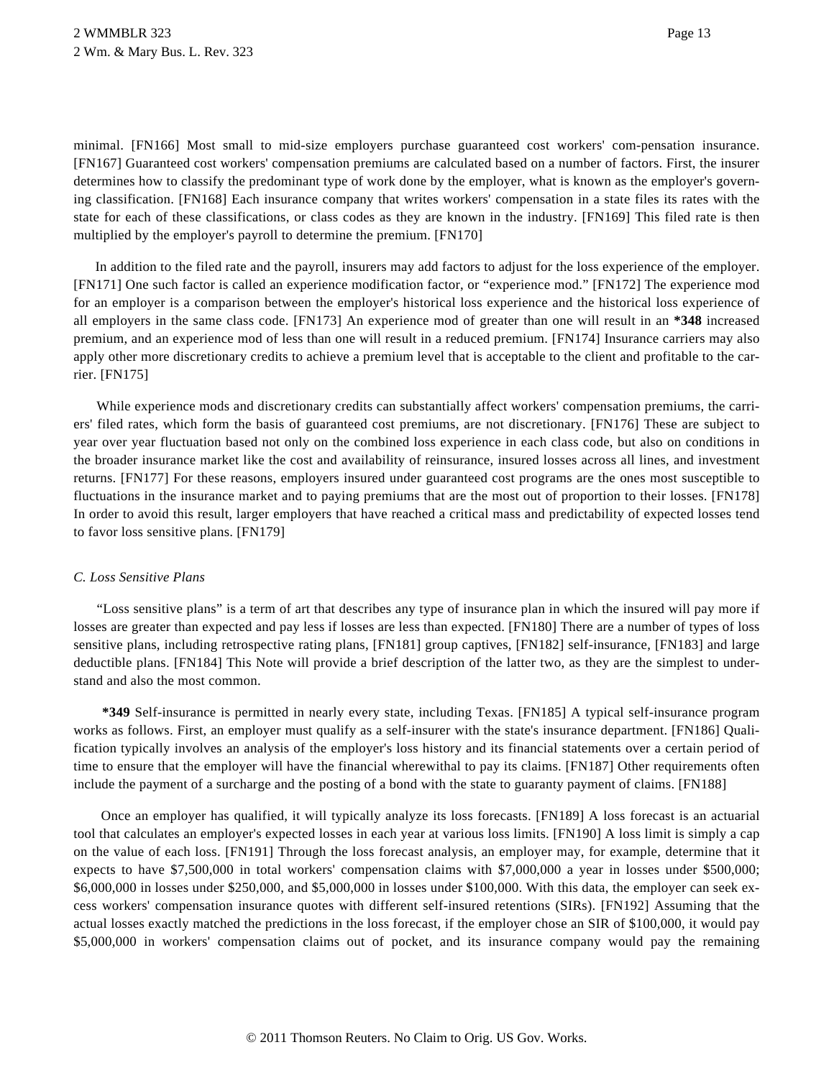minimal. [FN166] Most small to mid-size employers purchase guaranteed cost workers' com-pensation insurance. [FN167] Guaranteed cost workers' compensation premiums are calculated based on a number of factors. First, the insurer determines how to classify the predominant type of work done by the employer, what is known as the employer's governing classification. [FN168] Each insurance company that writes workers' compensation in a state files its rates with the state for each of these classifications, or class codes as they are known in the industry. [FN169] This filed rate is then multiplied by the employer's payroll to determine the premium. [FN170]

In addition to the filed rate and the payroll, insurers may add factors to adjust for the loss experience of the employer. [FN171] One such factor is called an experience modification factor, or "experience mod." [FN172] The experience mod for an employer is a comparison between the employer's historical loss experience and the historical loss experience of all employers in the same class code. [FN173] An experience mod of greater than one will result in an **\*348** increased premium, and an experience mod of less than one will result in a reduced premium. [FN174] Insurance carriers may also apply other more discretionary credits to achieve a premium level that is acceptable to the client and profitable to the carrier. [FN175]

While experience mods and discretionary credits can substantially affect workers' compensation premiums, the carriers' filed rates, which form the basis of guaranteed cost premiums, are not discretionary. [FN176] These are subject to year over year fluctuation based not only on the combined loss experience in each class code, but also on conditions in the broader insurance market like the cost and availability of reinsurance, insured losses across all lines, and investment returns. [FN177] For these reasons, employers insured under guaranteed cost programs are the ones most susceptible to fluctuations in the insurance market and to paying premiums that are the most out of proportion to their losses. [FN178] In order to avoid this result, larger employers that have reached a critical mass and predictability of expected losses tend to favor loss sensitive plans. [FN179]

# *C. Loss Sensitive Plans*

"Loss sensitive plans" is a term of art that describes any type of insurance plan in which the insured will pay more if losses are greater than expected and pay less if losses are less than expected. [FN180] There are a number of types of loss sensitive plans, including retrospective rating plans, [FN181] group captives, [FN182] self-insurance, [FN183] and large deductible plans. [FN184] This Note will provide a brief description of the latter two, as they are the simplest to understand and also the most common.

**\*349** Self-insurance is permitted in nearly every state, including Texas. [FN185] A typical self-insurance program works as follows. First, an employer must qualify as a self-insurer with the state's insurance department. [FN186] Qualification typically involves an analysis of the employer's loss history and its financial statements over a certain period of time to ensure that the employer will have the financial wherewithal to pay its claims. [FN187] Other requirements often include the payment of a surcharge and the posting of a bond with the state to guaranty payment of claims. [FN188]

Once an employer has qualified, it will typically analyze its loss forecasts. [FN189] A loss forecast is an actuarial tool that calculates an employer's expected losses in each year at various loss limits. [FN190] A loss limit is simply a cap on the value of each loss. [FN191] Through the loss forecast analysis, an employer may, for example, determine that it expects to have \$7,500,000 in total workers' compensation claims with \$7,000,000 a year in losses under \$500,000; \$6,000,000 in losses under \$250,000, and \$5,000,000 in losses under \$100,000. With this data, the employer can seek excess workers' compensation insurance quotes with different self-insured retentions (SIRs). [FN192] Assuming that the actual losses exactly matched the predictions in the loss forecast, if the employer chose an SIR of \$100,000, it would pay \$5,000,000 in workers' compensation claims out of pocket, and its insurance company would pay the remaining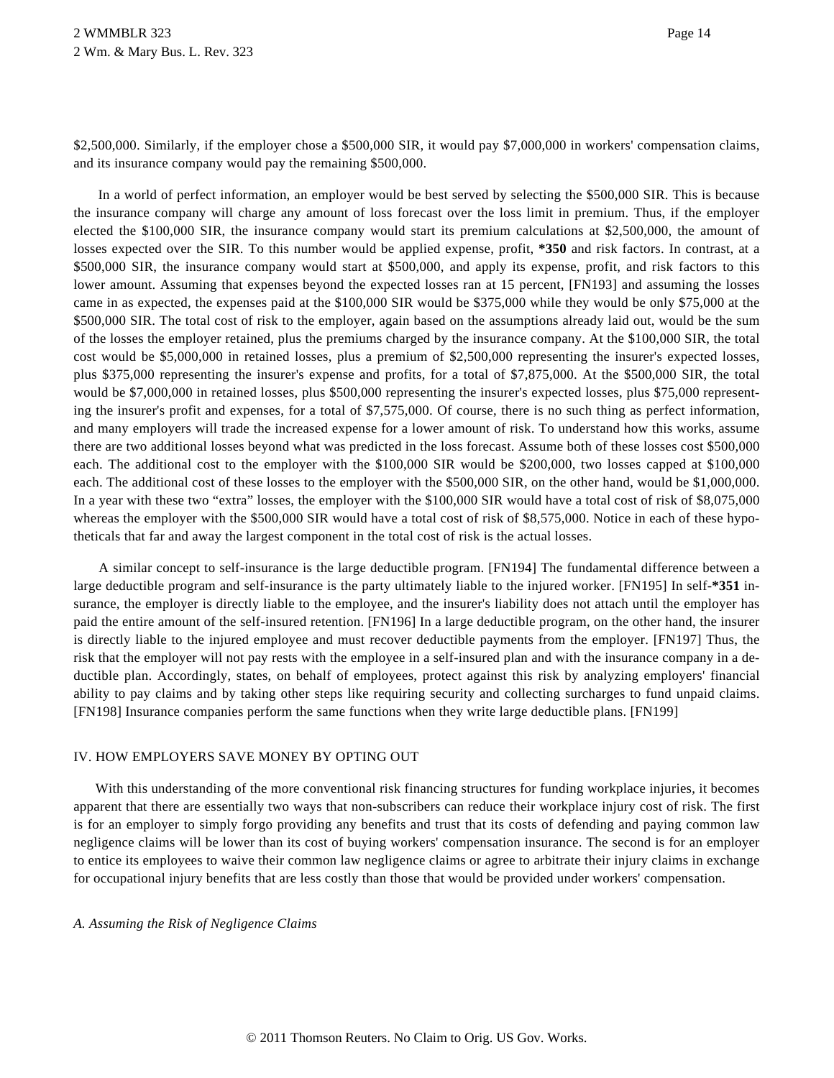\$2,500,000. Similarly, if the employer chose a \$500,000 SIR, it would pay \$7,000,000 in workers' compensation claims, and its insurance company would pay the remaining \$500,000.

In a world of perfect information, an employer would be best served by selecting the \$500,000 SIR. This is because the insurance company will charge any amount of loss forecast over the loss limit in premium. Thus, if the employer elected the \$100,000 SIR, the insurance company would start its premium calculations at \$2,500,000, the amount of losses expected over the SIR. To this number would be applied expense, profit, **\*350** and risk factors. In contrast, at a \$500,000 SIR, the insurance company would start at \$500,000, and apply its expense, profit, and risk factors to this lower amount. Assuming that expenses beyond the expected losses ran at 15 percent, [FN193] and assuming the losses came in as expected, the expenses paid at the \$100,000 SIR would be \$375,000 while they would be only \$75,000 at the \$500,000 SIR. The total cost of risk to the employer, again based on the assumptions already laid out, would be the sum of the losses the employer retained, plus the premiums charged by the insurance company. At the \$100,000 SIR, the total cost would be \$5,000,000 in retained losses, plus a premium of \$2,500,000 representing the insurer's expected losses, plus \$375,000 representing the insurer's expense and profits, for a total of \$7,875,000. At the \$500,000 SIR, the total would be \$7,000,000 in retained losses, plus \$500,000 representing the insurer's expected losses, plus \$75,000 representing the insurer's profit and expenses, for a total of \$7,575,000. Of course, there is no such thing as perfect information, and many employers will trade the increased expense for a lower amount of risk. To understand how this works, assume there are two additional losses beyond what was predicted in the loss forecast. Assume both of these losses cost \$500,000 each. The additional cost to the employer with the \$100,000 SIR would be \$200,000, two losses capped at \$100,000 each. The additional cost of these losses to the employer with the \$500,000 SIR, on the other hand, would be \$1,000,000. In a year with these two "extra" losses, the employer with the \$100,000 SIR would have a total cost of risk of \$8,075,000 whereas the employer with the \$500,000 SIR would have a total cost of risk of \$8,575,000. Notice in each of these hypotheticals that far and away the largest component in the total cost of risk is the actual losses.

A similar concept to self-insurance is the large deductible program. [FN194] The fundamental difference between a large deductible program and self-insurance is the party ultimately liable to the injured worker. [FN195] In self-**\*351** insurance, the employer is directly liable to the employee, and the insurer's liability does not attach until the employer has paid the entire amount of the self-insured retention. [FN196] In a large deductible program, on the other hand, the insurer is directly liable to the injured employee and must recover deductible payments from the employer. [FN197] Thus, the risk that the employer will not pay rests with the employee in a self-insured plan and with the insurance company in a deductible plan. Accordingly, states, on behalf of employees, protect against this risk by analyzing employers' financial ability to pay claims and by taking other steps like requiring security and collecting surcharges to fund unpaid claims. [FN198] Insurance companies perform the same functions when they write large deductible plans. [FN199]

### IV. HOW EMPLOYERS SAVE MONEY BY OPTING OUT

With this understanding of the more conventional risk financing structures for funding workplace injuries, it becomes apparent that there are essentially two ways that non-subscribers can reduce their workplace injury cost of risk. The first is for an employer to simply forgo providing any benefits and trust that its costs of defending and paying common law negligence claims will be lower than its cost of buying workers' compensation insurance. The second is for an employer to entice its employees to waive their common law negligence claims or agree to arbitrate their injury claims in exchange for occupational injury benefits that are less costly than those that would be provided under workers' compensation.

### *A. Assuming the Risk of Negligence Claims*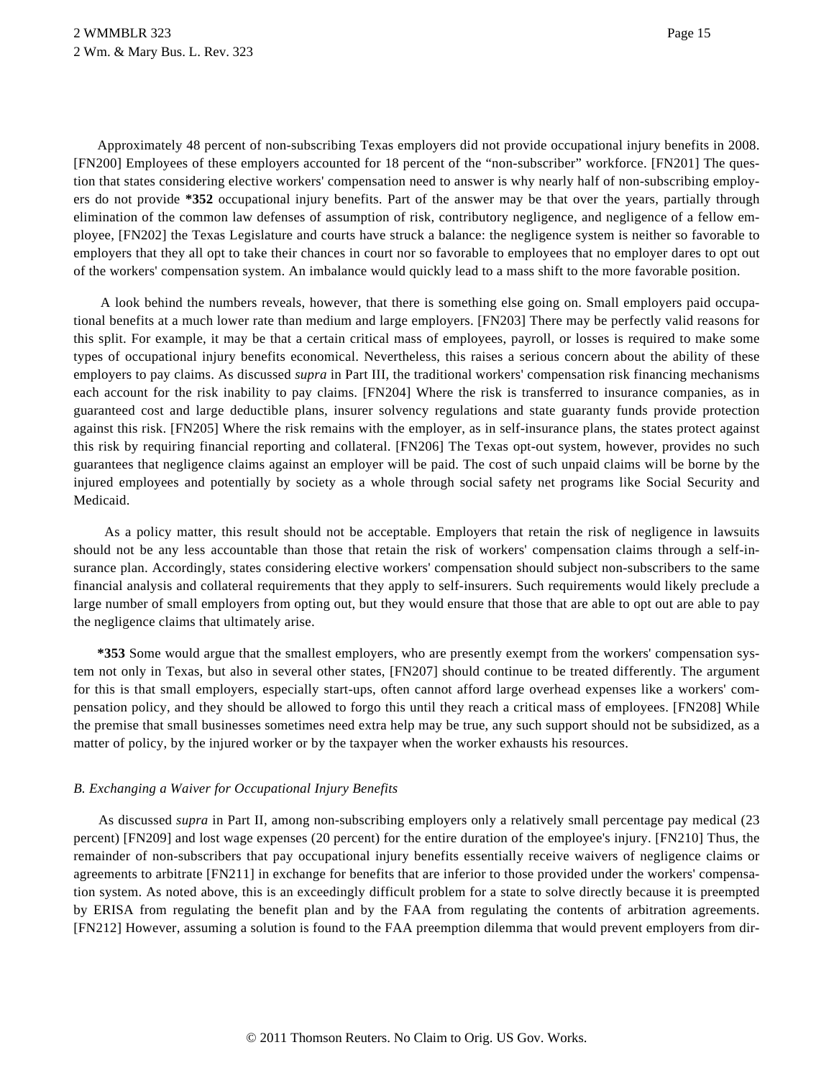Approximately 48 percent of non-subscribing Texas employers did not provide occupational injury benefits in 2008. [FN200] Employees of these employers accounted for 18 percent of the "non-subscriber" workforce. [FN201] The question that states considering elective workers' compensation need to answer is why nearly half of non-subscribing employers do not provide **\*352** occupational injury benefits. Part of the answer may be that over the years, partially through elimination of the common law defenses of assumption of risk, contributory negligence, and negligence of a fellow employee, [FN202] the Texas Legislature and courts have struck a balance: the negligence system is neither so favorable to employers that they all opt to take their chances in court nor so favorable to employees that no employer dares to opt out of the workers' compensation system. An imbalance would quickly lead to a mass shift to the more favorable position.

A look behind the numbers reveals, however, that there is something else going on. Small employers paid occupational benefits at a much lower rate than medium and large employers. [FN203] There may be perfectly valid reasons for this split. For example, it may be that a certain critical mass of employees, payroll, or losses is required to make some types of occupational injury benefits economical. Nevertheless, this raises a serious concern about the ability of these employers to pay claims. As discussed *supra* in Part III, the traditional workers' compensation risk financing mechanisms each account for the risk inability to pay claims. [FN204] Where the risk is transferred to insurance companies, as in guaranteed cost and large deductible plans, insurer solvency regulations and state guaranty funds provide protection against this risk. [FN205] Where the risk remains with the employer, as in self-insurance plans, the states protect against this risk by requiring financial reporting and collateral. [FN206] The Texas opt-out system, however, provides no such guarantees that negligence claims against an employer will be paid. The cost of such unpaid claims will be borne by the injured employees and potentially by society as a whole through social safety net programs like Social Security and Medicaid.

As a policy matter, this result should not be acceptable. Employers that retain the risk of negligence in lawsuits should not be any less accountable than those that retain the risk of workers' compensation claims through a self-insurance plan. Accordingly, states considering elective workers' compensation should subject non-subscribers to the same financial analysis and collateral requirements that they apply to self-insurers. Such requirements would likely preclude a large number of small employers from opting out, but they would ensure that those that are able to opt out are able to pay the negligence claims that ultimately arise.

**\*353** Some would argue that the smallest employers, who are presently exempt from the workers' compensation system not only in Texas, but also in several other states, [FN207] should continue to be treated differently. The argument for this is that small employers, especially start-ups, often cannot afford large overhead expenses like a workers' compensation policy, and they should be allowed to forgo this until they reach a critical mass of employees. [FN208] While the premise that small businesses sometimes need extra help may be true, any such support should not be subsidized, as a matter of policy, by the injured worker or by the taxpayer when the worker exhausts his resources.

### *B. Exchanging a Waiver for Occupational Injury Benefits*

As discussed *supra* in Part II, among non-subscribing employers only a relatively small percentage pay medical (23 percent) [FN209] and lost wage expenses (20 percent) for the entire duration of the employee's injury. [FN210] Thus, the remainder of non-subscribers that pay occupational injury benefits essentially receive waivers of negligence claims or agreements to arbitrate [FN211] in exchange for benefits that are inferior to those provided under the workers' compensation system. As noted above, this is an exceedingly difficult problem for a state to solve directly because it is preempted by ERISA from regulating the benefit plan and by the FAA from regulating the contents of arbitration agreements. [FN212] However, assuming a solution is found to the FAA preemption dilemma that would prevent employers from dir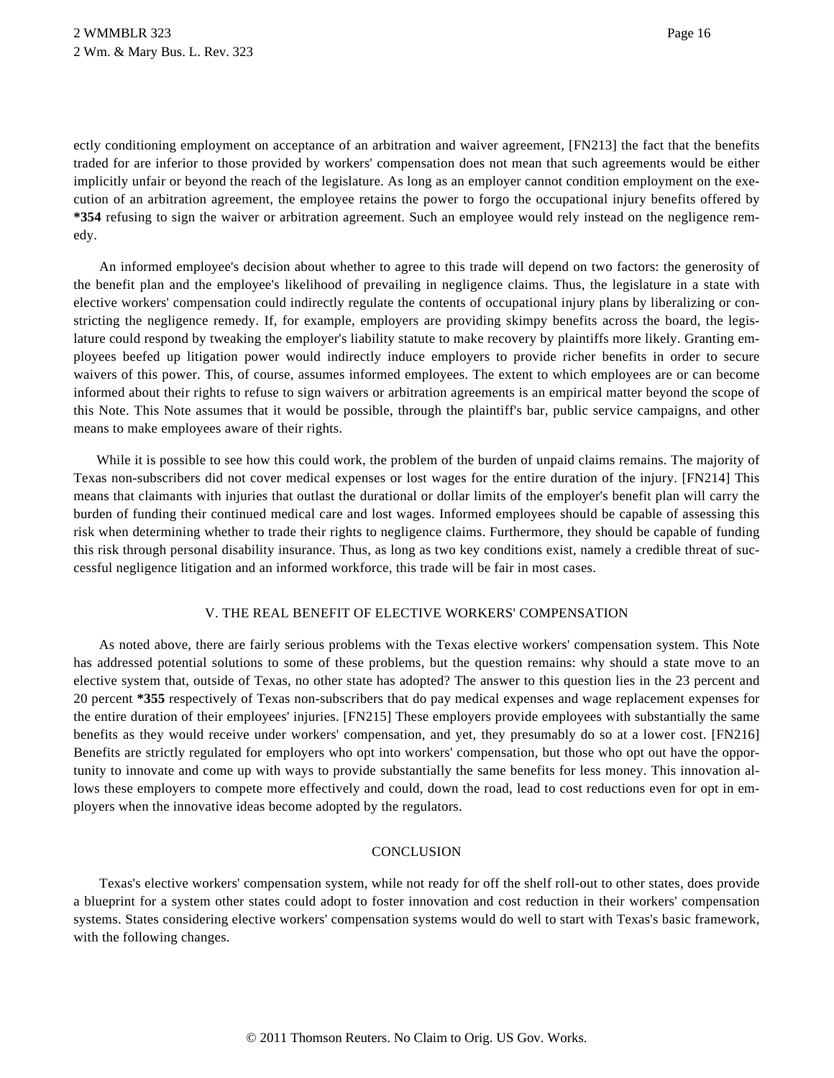ectly conditioning employment on acceptance of an arbitration and waiver agreement, [FN213] the fact that the benefits traded for are inferior to those provided by workers' compensation does not mean that such agreements would be either implicitly unfair or beyond the reach of the legislature. As long as an employer cannot condition employment on the execution of an arbitration agreement, the employee retains the power to forgo the occupational injury benefits offered by **\*354** refusing to sign the waiver or arbitration agreement. Such an employee would rely instead on the negligence remedy.

An informed employee's decision about whether to agree to this trade will depend on two factors: the generosity of the benefit plan and the employee's likelihood of prevailing in negligence claims. Thus, the legislature in a state with elective workers' compensation could indirectly regulate the contents of occupational injury plans by liberalizing or constricting the negligence remedy. If, for example, employers are providing skimpy benefits across the board, the legislature could respond by tweaking the employer's liability statute to make recovery by plaintiffs more likely. Granting employees beefed up litigation power would indirectly induce employers to provide richer benefits in order to secure waivers of this power. This, of course, assumes informed employees. The extent to which employees are or can become informed about their rights to refuse to sign waivers or arbitration agreements is an empirical matter beyond the scope of this Note. This Note assumes that it would be possible, through the plaintiff's bar, public service campaigns, and other means to make employees aware of their rights.

While it is possible to see how this could work, the problem of the burden of unpaid claims remains. The majority of Texas non-subscribers did not cover medical expenses or lost wages for the entire duration of the injury. [FN214] This means that claimants with injuries that outlast the durational or dollar limits of the employer's benefit plan will carry the burden of funding their continued medical care and lost wages. Informed employees should be capable of assessing this risk when determining whether to trade their rights to negligence claims. Furthermore, they should be capable of funding this risk through personal disability insurance. Thus, as long as two key conditions exist, namely a credible threat of successful negligence litigation and an informed workforce, this trade will be fair in most cases.

### V. THE REAL BENEFIT OF ELECTIVE WORKERS' COMPENSATION

As noted above, there are fairly serious problems with the Texas elective workers' compensation system. This Note has addressed potential solutions to some of these problems, but the question remains: why should a state move to an elective system that, outside of Texas, no other state has adopted? The answer to this question lies in the 23 percent and 20 percent **\*355** respectively of Texas non-subscribers that do pay medical expenses and wage replacement expenses for the entire duration of their employees' injuries. [FN215] These employers provide employees with substantially the same benefits as they would receive under workers' compensation, and yet, they presumably do so at a lower cost. [FN216] Benefits are strictly regulated for employers who opt into workers' compensation, but those who opt out have the opportunity to innovate and come up with ways to provide substantially the same benefits for less money. This innovation allows these employers to compete more effectively and could, down the road, lead to cost reductions even for opt in employers when the innovative ideas become adopted by the regulators.

# **CONCLUSION**

Texas's elective workers' compensation system, while not ready for off the shelf roll-out to other states, does provide a blueprint for a system other states could adopt to foster innovation and cost reduction in their workers' compensation systems. States considering elective workers' compensation systems would do well to start with Texas's basic framework, with the following changes.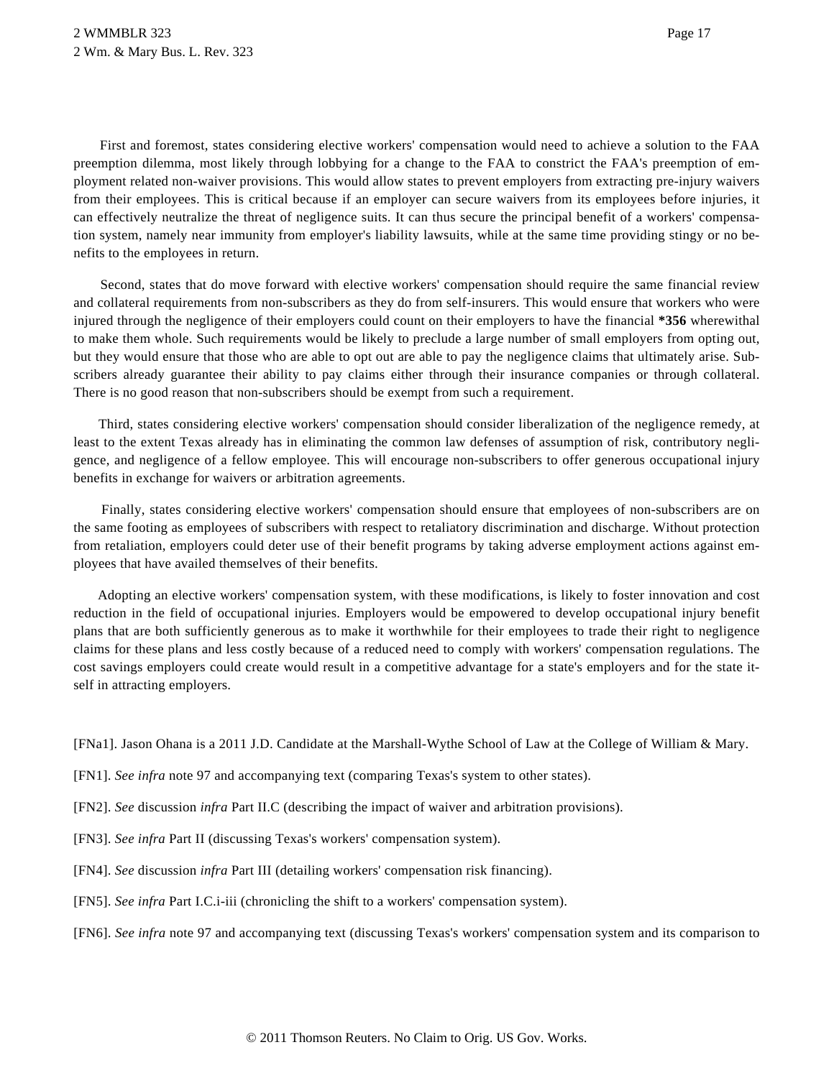First and foremost, states considering elective workers' compensation would need to achieve a solution to the FAA preemption dilemma, most likely through lobbying for a change to the FAA to constrict the FAA's preemption of employment related non-waiver provisions. This would allow states to prevent employers from extracting pre-injury waivers from their employees. This is critical because if an employer can secure waivers from its employees before injuries, it can effectively neutralize the threat of negligence suits. It can thus secure the principal benefit of a workers' compensation system, namely near immunity from employer's liability lawsuits, while at the same time providing stingy or no benefits to the employees in return.

Second, states that do move forward with elective workers' compensation should require the same financial review and collateral requirements from non-subscribers as they do from self-insurers. This would ensure that workers who were injured through the negligence of their employers could count on their employers to have the financial **\*356** wherewithal to make them whole. Such requirements would be likely to preclude a large number of small employers from opting out, but they would ensure that those who are able to opt out are able to pay the negligence claims that ultimately arise. Subscribers already guarantee their ability to pay claims either through their insurance companies or through collateral. There is no good reason that non-subscribers should be exempt from such a requirement.

Third, states considering elective workers' compensation should consider liberalization of the negligence remedy, at least to the extent Texas already has in eliminating the common law defenses of assumption of risk, contributory negligence, and negligence of a fellow employee. This will encourage non-subscribers to offer generous occupational injury benefits in exchange for waivers or arbitration agreements.

Finally, states considering elective workers' compensation should ensure that employees of non-subscribers are on the same footing as employees of subscribers with respect to retaliatory discrimination and discharge. Without protection from retaliation, employers could deter use of their benefit programs by taking adverse employment actions against employees that have availed themselves of their benefits.

Adopting an elective workers' compensation system, with these modifications, is likely to foster innovation and cost reduction in the field of occupational injuries. Employers would be empowered to develop occupational injury benefit plans that are both sufficiently generous as to make it worthwhile for their employees to trade their right to negligence claims for these plans and less costly because of a reduced need to comply with workers' compensation regulations. The cost savings employers could create would result in a competitive advantage for a state's employers and for the state itself in attracting employers.

[FNa1]. Jason Ohana is a 2011 J.D. Candidate at the Marshall-Wythe School of Law at the College of William & Mary.

[FN1]. *See infra* note 97 and accompanying text (comparing Texas's system to other states).

[FN2]. *See* discussion *infra* Part II.C (describing the impact of waiver and arbitration provisions).

[FN3]. *See infra* Part II (discussing Texas's workers' compensation system).

[FN4]. *See* discussion *infra* Part III (detailing workers' compensation risk financing).

[FN5]. *See infra* Part I.C.i-iii (chronicling the shift to a workers' compensation system).

[FN6]. *See infra* note 97 and accompanying text (discussing Texas's workers' compensation system and its comparison to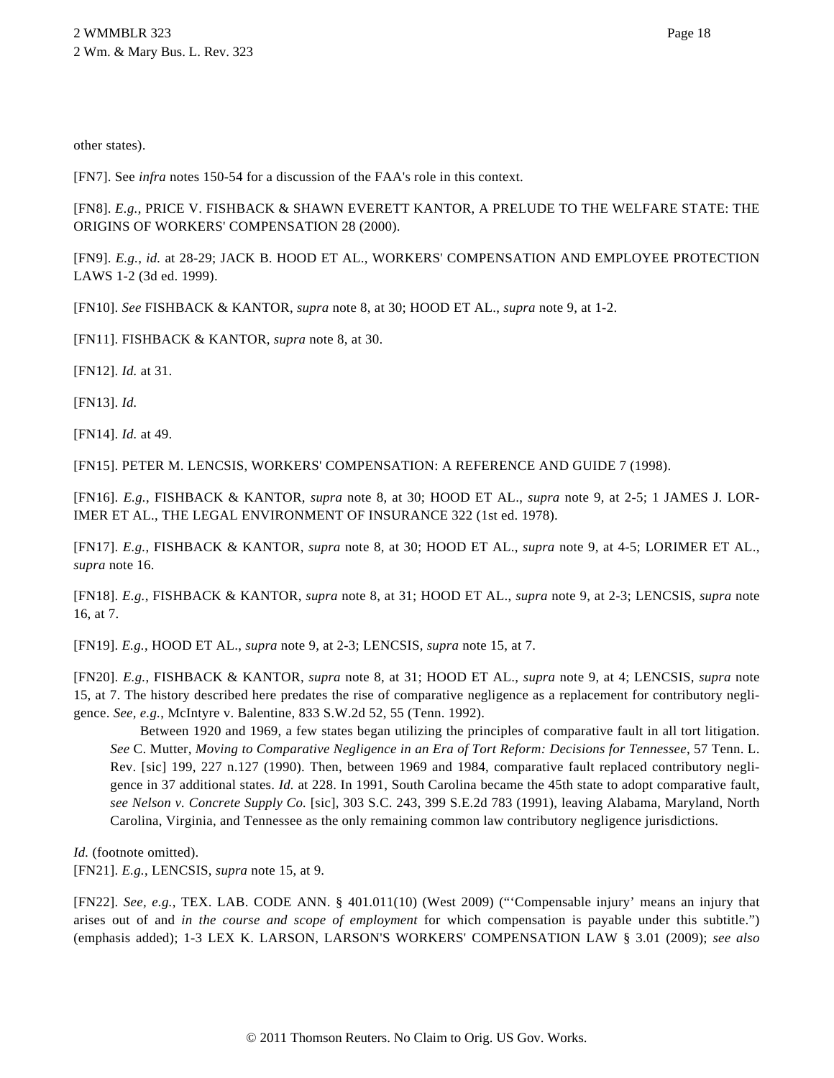other states).

[FN7]. See *infra* notes 150-54 for a discussion of the FAA's role in this context.

[FN8]. *E.g.*, PRICE V. FISHBACK & SHAWN EVERETT KANTOR, A PRELUDE TO THE WELFARE STATE: THE ORIGINS OF WORKERS' COMPENSATION 28 (2000).

[FN9]. *E.g.*, *id.* at 28-29; JACK B. HOOD ET AL., WORKERS' COMPENSATION AND EMPLOYEE PROTECTION LAWS 1-2 (3d ed. 1999).

[FN10]. *See* FISHBACK & KANTOR, *supra* note 8, at 30; HOOD ET AL., *supra* note 9, at 1-2.

[FN11]. FISHBACK & KANTOR, *supra* note 8, at 30.

[FN12]. *Id.* at 31.

[FN13]. *Id.*

[FN14]. *Id.* at 49.

[FN15]. PETER M. LENCSIS, WORKERS' COMPENSATION: A REFERENCE AND GUIDE 7 (1998).

[FN16]. *E.g.*, FISHBACK & KANTOR, *supra* note 8, at 30; HOOD ET AL., *supra* note 9, at 2-5; 1 JAMES J. LOR-IMER ET AL., THE LEGAL ENVIRONMENT OF INSURANCE 322 (1st ed. 1978).

[FN17]. *E.g.*, FISHBACK & KANTOR, *supra* note 8, at 30; HOOD ET AL., *supra* note 9, at 4-5; LORIMER ET AL., *supra* note 16.

[FN18]. *E.g.*, FISHBACK & KANTOR, *supra* note 8, at 31; HOOD ET AL., *supra* note 9, at 2-3; LENCSIS, *supra* note 16, at 7.

[FN19]. *E.g.*, HOOD ET AL., *supra* note 9, at 2-3; LENCSIS, *supra* note 15, at 7.

[FN20]. *E.g.*, FISHBACK & KANTOR, *supra* note 8, at 31; HOOD ET AL., *supra* note 9, at 4; LENCSIS, *supra* note 15, at 7. The history described here predates the rise of comparative negligence as a replacement for contributory negligence. *See, e.g.*, McIntyre v. Balentine, 833 S.W.2d 52, 55 (Tenn. 1992).

Between 1920 and 1969, a few states began utilizing the principles of comparative fault in all tort litigation. *See* C. Mutter, *Moving to Comparative Negligence in an Era of Tort Reform: Decisions for Tennessee*, 57 Tenn. L. Rev. [sic] 199, 227 n.127 (1990). Then, between 1969 and 1984, comparative fault replaced contributory negligence in 37 additional states. *Id.* at 228. In 1991, South Carolina became the 45th state to adopt comparative fault, *see Nelson v. Concrete Supply Co.* [sic], 303 S.C. 243, 399 S.E.2d 783 (1991), leaving Alabama, Maryland, North Carolina, Virginia, and Tennessee as the only remaining common law contributory negligence jurisdictions.

*Id.* (footnote omitted). [FN21]. *E.g.*, LENCSIS, *supra* note 15, at 9.

[FN22]. *See, e.g.*, TEX. LAB. CODE ANN. § 401.011(10) (West 2009) ("'Compensable injury' means an injury that arises out of and *in the course and scope of employment* for which compensation is payable under this subtitle.") (emphasis added); 1-3 LEX K. LARSON, LARSON'S WORKERS' COMPENSATION LAW § 3.01 (2009); *see also*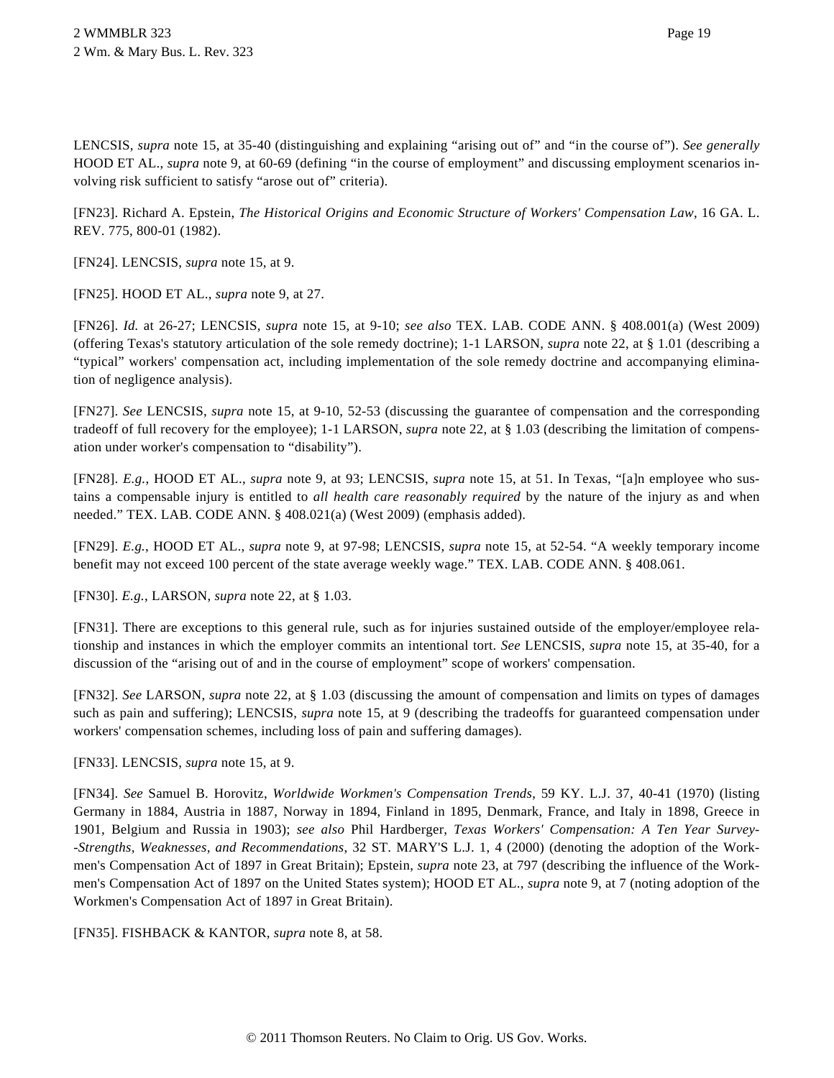LENCSIS, *supra* note 15, at 35-40 (distinguishing and explaining "arising out of" and "in the course of"). *See generally* HOOD ET AL., *supra* note 9, at 60-69 (defining "in the course of employment" and discussing employment scenarios involving risk sufficient to satisfy "arose out of" criteria).

[FN23]. Richard A. Epstein, *The Historical Origins and Economic Structure of Workers' Compensation Law*, 16 GA. L. REV. 775, 800-01 (1982).

[FN24]. LENCSIS, *supra* note 15, at 9.

[FN25]. HOOD ET AL., *supra* note 9, at 27.

[FN26]. *Id.* at 26-27; LENCSIS, *supra* note 15, at 9-10; *see also* TEX. LAB. CODE ANN. § 408.001(a) (West 2009) (offering Texas's statutory articulation of the sole remedy doctrine); 1-1 LARSON, *supra* note 22, at § 1.01 (describing a "typical" workers' compensation act, including implementation of the sole remedy doctrine and accompanying elimination of negligence analysis).

[FN27]. *See* LENCSIS, *supra* note 15, at 9-10, 52-53 (discussing the guarantee of compensation and the corresponding tradeoff of full recovery for the employee); 1-1 LARSON, *supra* note 22, at § 1.03 (describing the limitation of compensation under worker's compensation to "disability").

[FN28]. *E.g.*, HOOD ET AL., *supra* note 9, at 93; LENCSIS, *supra* note 15, at 51. In Texas, "[a]n employee who sustains a compensable injury is entitled to *all health care reasonably required* by the nature of the injury as and when needed." TEX. LAB. CODE ANN. § 408.021(a) (West 2009) (emphasis added).

[FN29]. *E.g.*, HOOD ET AL., *supra* note 9, at 97-98; LENCSIS, *supra* note 15, at 52-54. "A weekly temporary income benefit may not exceed 100 percent of the state average weekly wage." TEX. LAB. CODE ANN. § 408.061.

[FN30]. *E.g.*, LARSON, *supra* note 22, at § 1.03.

[FN31]. There are exceptions to this general rule, such as for injuries sustained outside of the employer/employee relationship and instances in which the employer commits an intentional tort. *See* LENCSIS, *supra* note 15, at 35-40, for a discussion of the "arising out of and in the course of employment" scope of workers' compensation.

[FN32]. *See* LARSON, *supra* note 22, at § 1.03 (discussing the amount of compensation and limits on types of damages such as pain and suffering); LENCSIS, *supra* note 15, at 9 (describing the tradeoffs for guaranteed compensation under workers' compensation schemes, including loss of pain and suffering damages).

[FN33]. LENCSIS, *supra* note 15, at 9.

[FN34]. *See* Samuel B. Horovitz, *Worldwide Workmen's Compensation Trends*, 59 KY. L.J. 37, 40-41 (1970) (listing Germany in 1884, Austria in 1887, Norway in 1894, Finland in 1895, Denmark, France, and Italy in 1898, Greece in 1901, Belgium and Russia in 1903); *see also* Phil Hardberger, *Texas Workers' Compensation: A Ten Year Survey- -Strengths, Weaknesses, and Recommendations*, 32 ST. MARY'S L.J. 1, 4 (2000) (denoting the adoption of the Workmen's Compensation Act of 1897 in Great Britain); Epstein, *supra* note 23, at 797 (describing the influence of the Workmen's Compensation Act of 1897 on the United States system); HOOD ET AL., *supra* note 9, at 7 (noting adoption of the Workmen's Compensation Act of 1897 in Great Britain).

[FN35]. FISHBACK & KANTOR, *supra* note 8, at 58.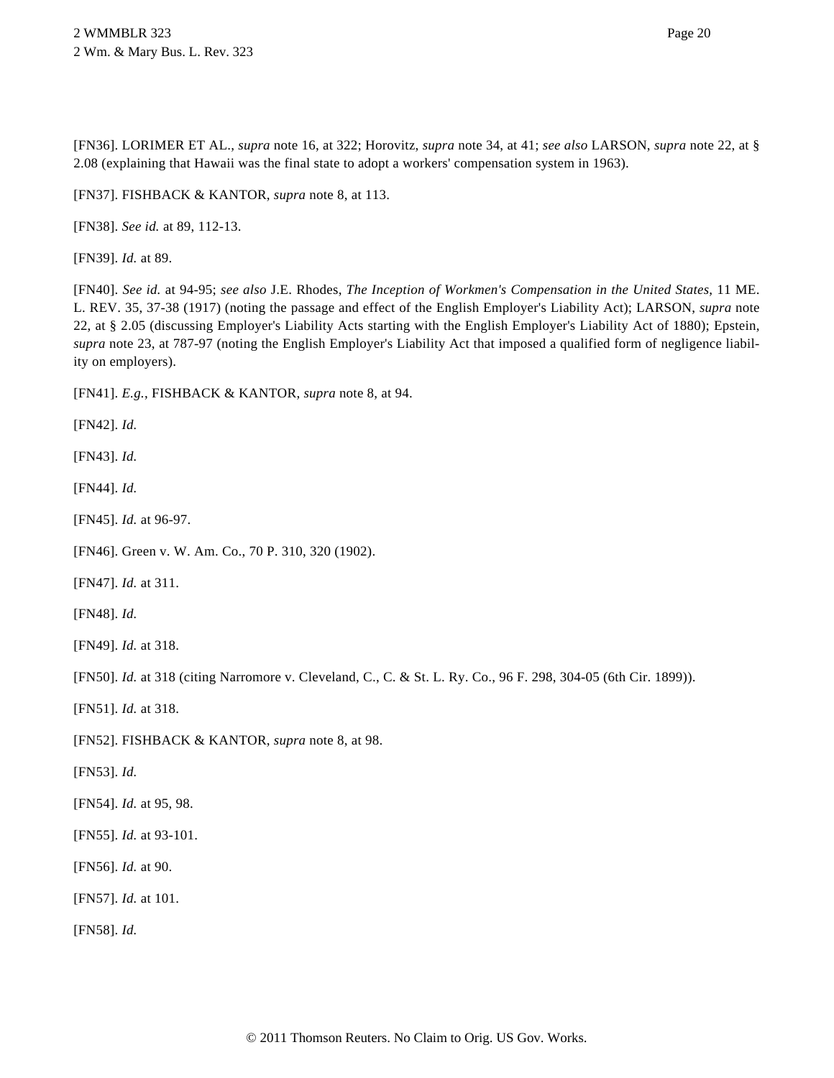[FN36]. LORIMER ET AL., *supra* note 16, at 322; Horovitz, *supra* note 34, at 41; *see also* LARSON, *supra* note 22, at § 2.08 (explaining that Hawaii was the final state to adopt a workers' compensation system in 1963).

[FN37]. FISHBACK & KANTOR, *supra* note 8, at 113.

[FN38]. *See id.* at 89, 112-13.

[FN39]. *Id.* at 89.

[FN40]. *See id.* at 94-95; *see also* J.E. Rhodes, *The Inception of Workmen's Compensation in the United States*, 11 ME. L. REV. 35, 37-38 (1917) (noting the passage and effect of the English Employer's Liability Act); LARSON, *supra* note 22, at § 2.05 (discussing Employer's Liability Acts starting with the English Employer's Liability Act of 1880); Epstein, *supra* note 23, at 787-97 (noting the English Employer's Liability Act that imposed a qualified form of negligence liability on employers).

[FN41]. *E.g.*, FISHBACK & KANTOR, *supra* note 8, at 94.

[FN42]. *Id.*

[FN43]. *Id.*

[FN44]. *Id.*

[FN45]. *Id.* at 96-97.

[FN46]. Green v. W. Am. Co., 70 P. 310, 320 (1902).

[FN47]. *Id.* at 311.

[FN48]. *Id.*

[FN49]. *Id.* at 318.

[FN50]. *Id.* at 318 (citing Narromore v. Cleveland, C., C. & St. L. Ry. Co., 96 F. 298, 304-05 (6th Cir. 1899)).

[FN51]. *Id.* at 318.

[FN52]. FISHBACK & KANTOR, *supra* note 8, at 98.

[FN53]. *Id.*

[FN54]. *Id.* at 95, 98.

[FN55]. *Id.* at 93-101.

[FN56]. *Id.* at 90.

[FN57]. *Id.* at 101.

[FN58]. *Id.*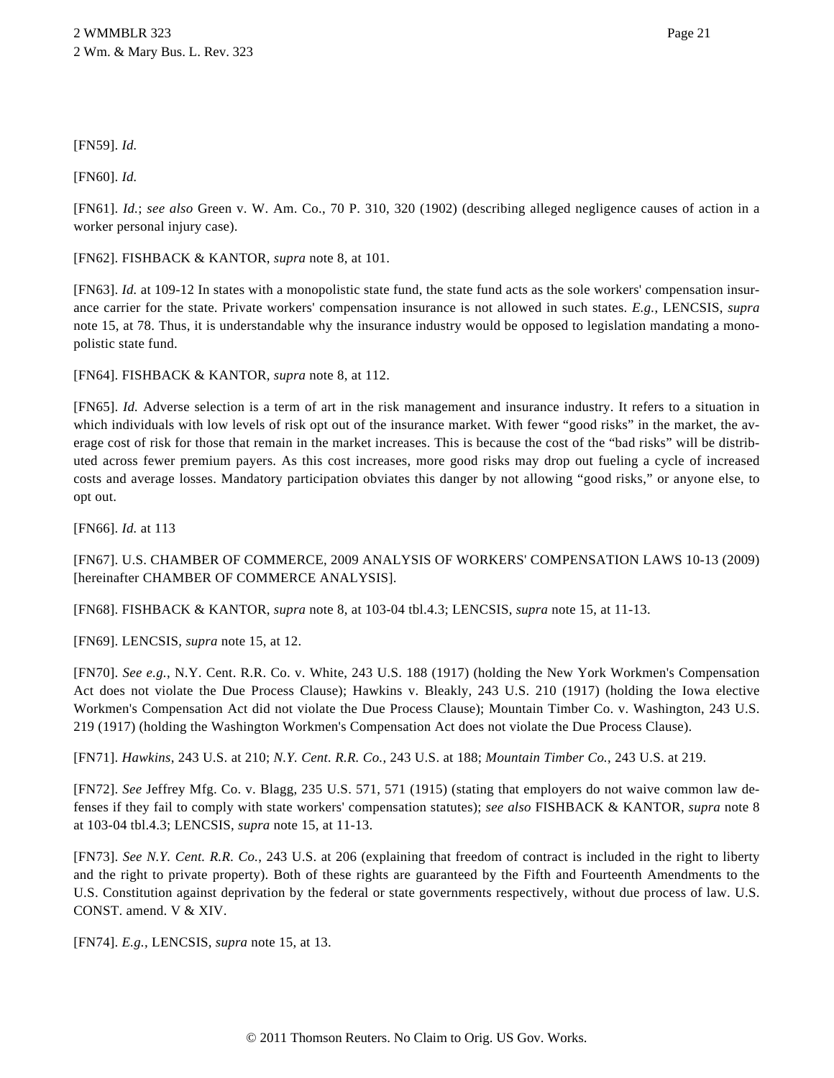# [FN59]. *Id.*

[FN60]. *Id.*

[FN61]. *Id.*; *see also* Green v. W. Am. Co., 70 P. 310, 320 (1902) (describing alleged negligence causes of action in a worker personal injury case).

[FN62]. FISHBACK & KANTOR, *supra* note 8, at 101.

[FN63]. *Id.* at 109-12 In states with a monopolistic state fund, the state fund acts as the sole workers' compensation insurance carrier for the state. Private workers' compensation insurance is not allowed in such states. *E.g.*, LENCSIS, *supra* note 15, at 78. Thus, it is understandable why the insurance industry would be opposed to legislation mandating a monopolistic state fund.

[FN64]. FISHBACK & KANTOR, *supra* note 8, at 112.

[FN65]. *Id.* Adverse selection is a term of art in the risk management and insurance industry. It refers to a situation in which individuals with low levels of risk opt out of the insurance market. With fewer "good risks" in the market, the average cost of risk for those that remain in the market increases. This is because the cost of the "bad risks" will be distributed across fewer premium payers. As this cost increases, more good risks may drop out fueling a cycle of increased costs and average losses. Mandatory participation obviates this danger by not allowing "good risks," or anyone else, to opt out.

[FN66]. *Id.* at 113

[FN67]. U.S. CHAMBER OF COMMERCE, 2009 ANALYSIS OF WORKERS' COMPENSATION LAWS 10-13 (2009) [hereinafter CHAMBER OF COMMERCE ANALYSIS].

[FN68]. FISHBACK & KANTOR, *supra* note 8, at 103-04 tbl.4.3; LENCSIS, *supra* note 15, at 11-13.

[FN69]. LENCSIS, *supra* note 15, at 12.

[FN70]. *See e.g.*, N.Y. Cent. R.R. Co. v. White, 243 U.S. 188 (1917) (holding the New York Workmen's Compensation Act does not violate the Due Process Clause); Hawkins v. Bleakly, 243 U.S. 210 (1917) (holding the Iowa elective Workmen's Compensation Act did not violate the Due Process Clause); Mountain Timber Co. v. Washington, 243 U.S. 219 (1917) (holding the Washington Workmen's Compensation Act does not violate the Due Process Clause).

[FN71]. *Hawkins*, 243 U.S. at 210; *N.Y. Cent. R.R. Co.*, 243 U.S. at 188; *Mountain Timber Co.*, 243 U.S. at 219.

[FN72]. *See* Jeffrey Mfg. Co. v. Blagg, 235 U.S. 571, 571 (1915) (stating that employers do not waive common law defenses if they fail to comply with state workers' compensation statutes); *see also* FISHBACK & KANTOR, *supra* note 8 at 103-04 tbl.4.3; LENCSIS, *supra* note 15, at 11-13.

[FN73]. *See N.Y. Cent. R.R. Co.*, 243 U.S. at 206 (explaining that freedom of contract is included in the right to liberty and the right to private property). Both of these rights are guaranteed by the Fifth and Fourteenth Amendments to the U.S. Constitution against deprivation by the federal or state governments respectively, without due process of law. U.S. CONST. amend. V & XIV.

[FN74]. *E.g.*, LENCSIS, *supra* note 15, at 13.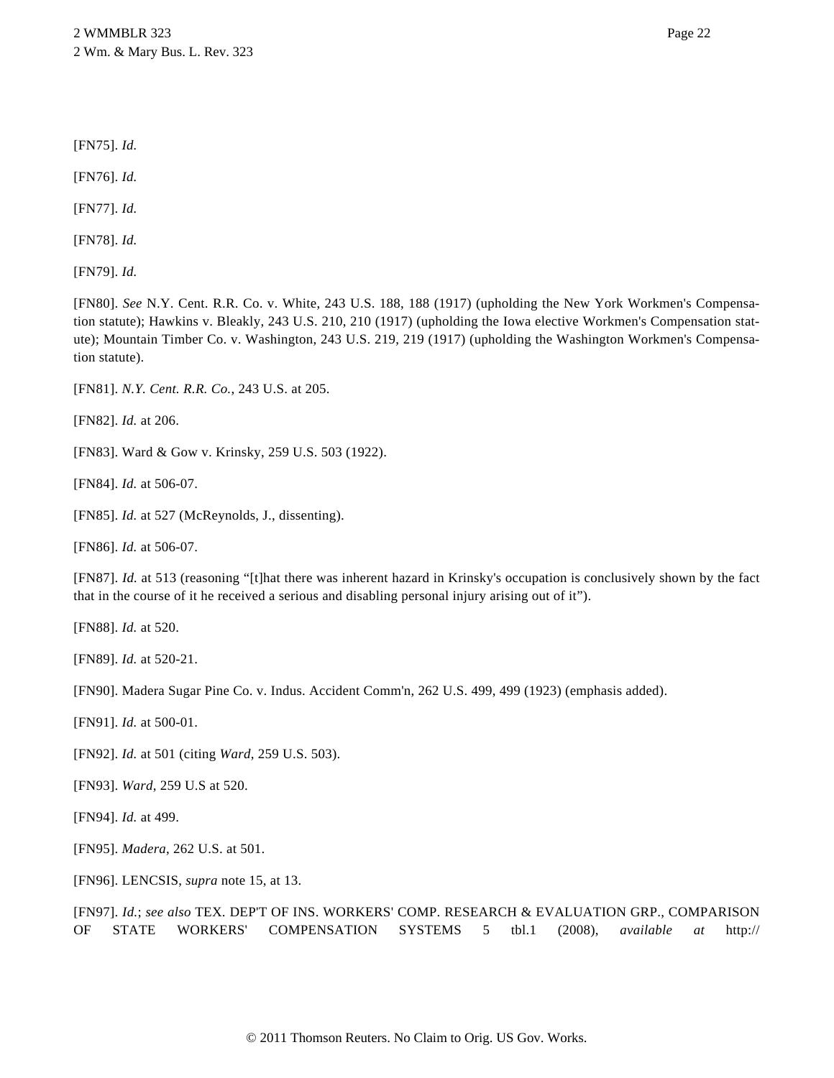[FN75]. *Id.*

[FN76]. *Id.*

[FN77]. *Id.*

[FN78]. *Id.*

[FN79]. *Id.*

[FN80]. *See* N.Y. Cent. R.R. Co. v. White, 243 U.S. 188, 188 (1917) (upholding the New York Workmen's Compensation statute); Hawkins v. Bleakly, 243 U.S. 210, 210 (1917) (upholding the Iowa elective Workmen's Compensation statute); Mountain Timber Co. v. Washington, 243 U.S. 219, 219 (1917) (upholding the Washington Workmen's Compensation statute).

[FN81]. *N.Y. Cent. R.R. Co.*, 243 U.S. at 205.

[FN82]. *Id.* at 206.

[FN83]. Ward & Gow v. Krinsky, 259 U.S. 503 (1922).

[FN84]. *Id.* at 506-07.

[FN85]. *Id.* at 527 (McReynolds, J., dissenting).

[FN86]. *Id.* at 506-07.

[FN87]. *Id.* at 513 (reasoning "[t]hat there was inherent hazard in Krinsky's occupation is conclusively shown by the fact that in the course of it he received a serious and disabling personal injury arising out of it").

[FN88]. *Id.* at 520.

[FN89]. *Id.* at 520-21.

[FN90]. Madera Sugar Pine Co. v. Indus. Accident Comm'n, 262 U.S. 499, 499 (1923) (emphasis added).

[FN91]. *Id.* at 500-01.

[FN92]. *Id.* at 501 (citing *Ward*, 259 U.S. 503).

[FN93]. *Ward*, 259 U.S at 520.

[FN94]. *Id.* at 499.

[FN95]. *Madera*, 262 U.S. at 501.

[FN96]. LENCSIS, *supra* note 15, at 13.

[FN97]. *Id.*; *see also* TEX. DEP'T OF INS. WORKERS' COMP. RESEARCH & EVALUATION GRP., COMPARISON OF STATE WORKERS' COMPENSATION SYSTEMS 5 tbl.1 (2008), *available at* http://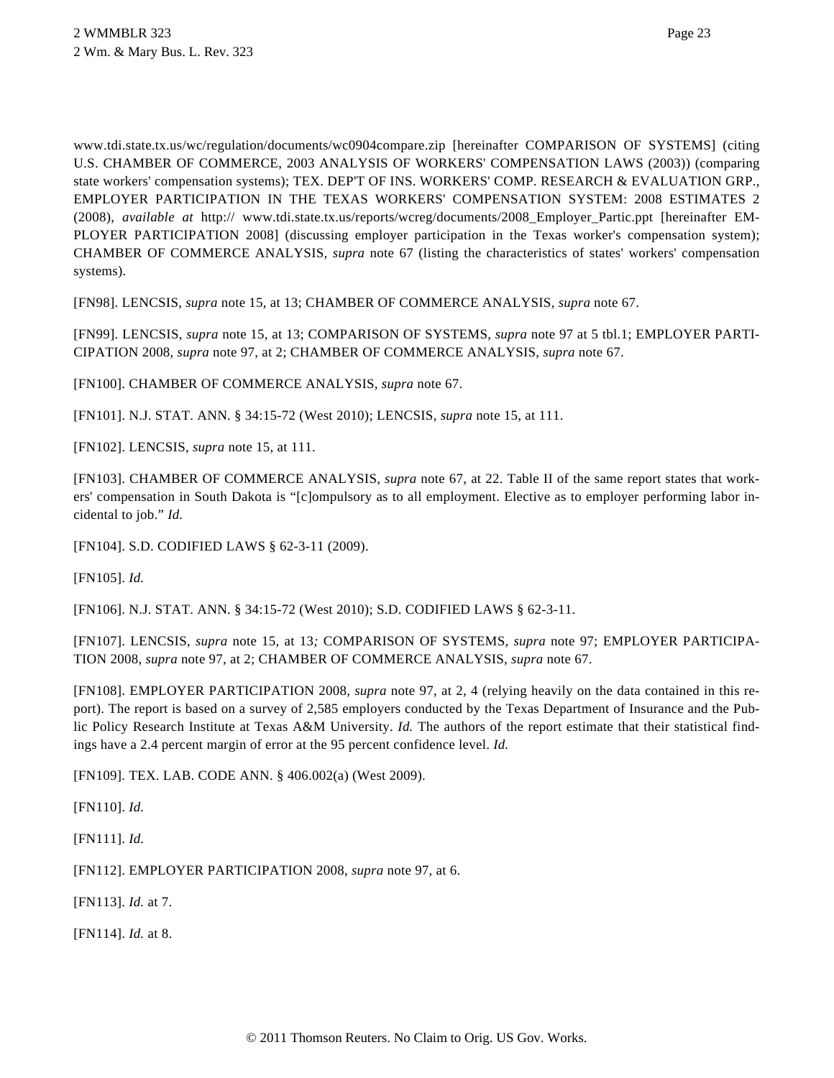www.tdi.state.tx.us/wc/regulation/documents/wc0904compare.zip [hereinafter COMPARISON OF SYSTEMS] (citing U.S. CHAMBER OF COMMERCE, 2003 ANALYSIS OF WORKERS' COMPENSATION LAWS (2003)) (comparing state workers' compensation systems); TEX. DEP'T OF INS. WORKERS' COMP. RESEARCH & EVALUATION GRP., EMPLOYER PARTICIPATION IN THE TEXAS WORKERS' COMPENSATION SYSTEM: 2008 ESTIMATES 2 (2008), *available at* http:// www.tdi.state.tx.us/reports/wcreg/documents/2008\_Employer\_Partic.ppt [hereinafter EM-PLOYER PARTICIPATION 2008] (discussing employer participation in the Texas worker's compensation system); CHAMBER OF COMMERCE ANALYSIS*, supra* note 67 (listing the characteristics of states' workers' compensation systems).

[FN98]. LENCSIS, *supra* note 15, at 13; CHAMBER OF COMMERCE ANALYSIS, *supra* note 67.

[FN99]. LENCSIS, *supra* note 15, at 13; COMPARISON OF SYSTEMS, *supra* note 97 at 5 tbl.1; EMPLOYER PARTI-CIPATION 2008, *supra* note 97, at 2; CHAMBER OF COMMERCE ANALYSIS, *supra* note 67.

[FN100]. CHAMBER OF COMMERCE ANALYSIS, *supra* note 67.

[FN101]. N.J. STAT. ANN. § 34:15-72 (West 2010); LENCSIS, *supra* note 15, at 111.

[FN102]. LENCSIS, *supra* note 15, at 111.

[FN103]. CHAMBER OF COMMERCE ANALYSIS, *supra* note 67, at 22. Table II of the same report states that workers' compensation in South Dakota is "[c]ompulsory as to all employment. Elective as to employer performing labor incidental to job." *Id.*

[FN104]. S.D. CODIFIED LAWS § 62-3-11 (2009).

[FN105]. *Id.*

[FN106]. N.J. STAT. ANN. § 34:15-72 (West 2010); S.D. CODIFIED LAWS § 62-3-11.

[FN107]. LENCSIS, *supra* note 15, at 13*;* COMPARISON OF SYSTEMS, *supra* note 97; EMPLOYER PARTICIPA-TION 2008, *supra* note 97, at 2; CHAMBER OF COMMERCE ANALYSIS, *supra* note 67.

[FN108]. EMPLOYER PARTICIPATION 2008, *supra* note 97, at 2, 4 (relying heavily on the data contained in this report). The report is based on a survey of 2,585 employers conducted by the Texas Department of Insurance and the Public Policy Research Institute at Texas A&M University. *Id.* The authors of the report estimate that their statistical findings have a 2.4 percent margin of error at the 95 percent confidence level. *Id.*

[FN109]. TEX. LAB. CODE ANN. § 406.002(a) (West 2009).

[FN110]. *Id.*

[FN111]. *Id.*

[FN112]. EMPLOYER PARTICIPATION 2008, *supra* note 97, at 6.

[FN113]. *Id.* at 7.

[FN114]. *Id.* at 8.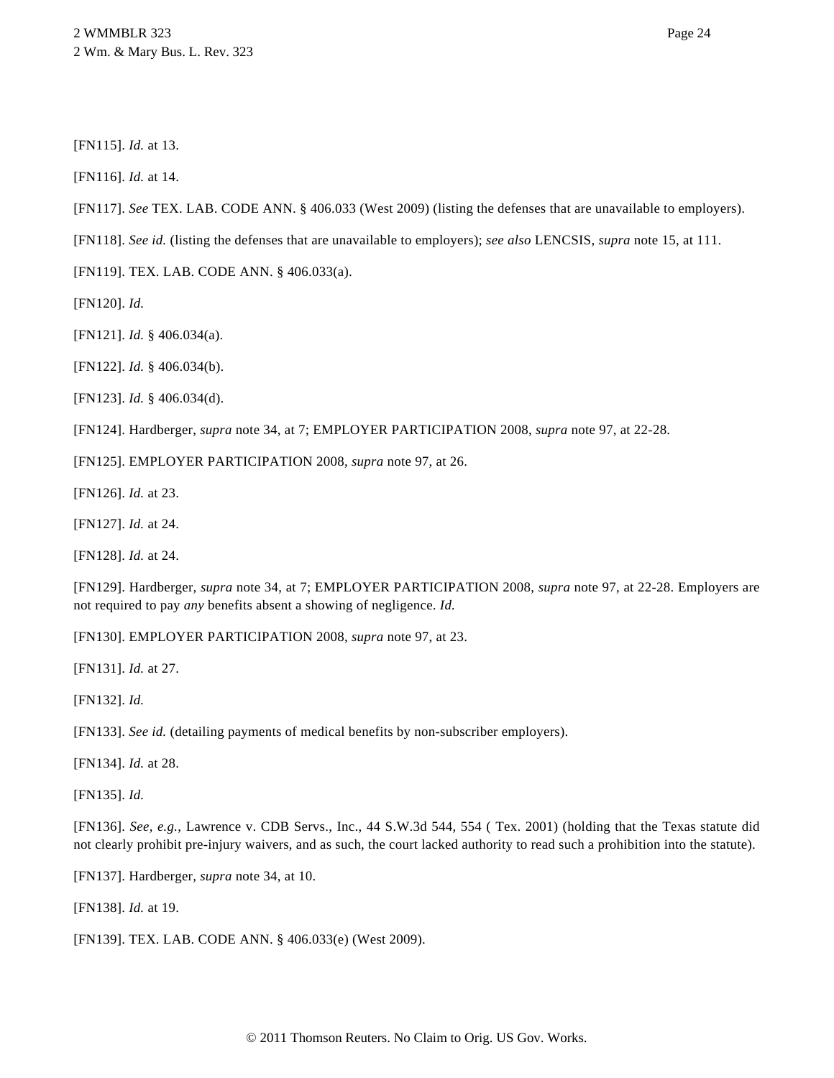[FN116]. *Id.* at 14.

- [FN117]. *See* TEX. LAB. CODE ANN. § 406.033 (West 2009) (listing the defenses that are unavailable to employers).
- [FN118]. *See id.* (listing the defenses that are unavailable to employers); *see also* LENCSIS, *supra* note 15, at 111.

[FN119]. TEX. LAB. CODE ANN. § 406.033(a).

[FN120]. *Id.*

[FN121]. *Id.* § 406.034(a).

[FN122]. *Id.* § 406.034(b).

[FN123]. *Id.* § 406.034(d).

[FN124]. Hardberger, *supra* note 34, at 7; EMPLOYER PARTICIPATION 2008, *supra* note 97, at 22-28.

[FN125]. EMPLOYER PARTICIPATION 2008, *supra* note 97, at 26.

[FN126]. *Id.* at 23.

[FN127]. *Id.* at 24.

[FN128]. *Id.* at 24.

[FN129]. Hardberger*, supra* note 34, at 7; EMPLOYER PARTICIPATION 2008, *supra* note 97, at 22-28. Employers are not required to pay *any* benefits absent a showing of negligence. *Id.*

[FN130]. EMPLOYER PARTICIPATION 2008, *supra* note 97, at 23.

[FN131]. *Id.* at 27.

[FN132]. *Id.*

[FN133]. *See id.* (detailing payments of medical benefits by non-subscriber employers).

[FN134]. *Id.* at 28.

[FN135]. *Id.*

[FN136]. *See, e.g.*, Lawrence v. CDB Servs., Inc., 44 S.W.3d 544, 554 ( Tex. 2001) (holding that the Texas statute did not clearly prohibit pre-injury waivers, and as such, the court lacked authority to read such a prohibition into the statute).

[FN137]. Hardberger*, supra* note 34, at 10.

[FN138]. *Id.* at 19.

[FN139]. TEX. LAB. CODE ANN. § 406.033(e) (West 2009).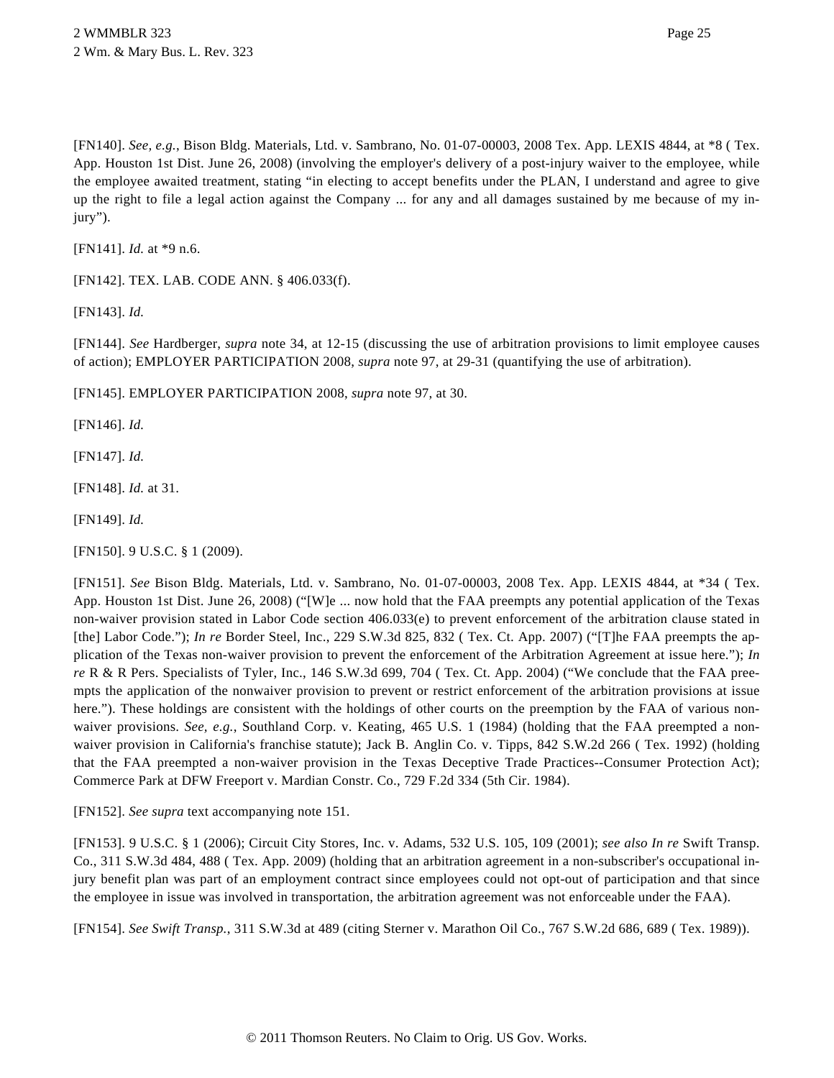[FN140]. *See, e.g.*, Bison Bldg. Materials, Ltd. v. Sambrano, No. 01-07-00003, 2008 Tex. App. LEXIS 4844, at \*8 ( Tex. App. Houston 1st Dist. June 26, 2008) (involving the employer's delivery of a post-injury waiver to the employee, while the employee awaited treatment, stating "in electing to accept benefits under the PLAN, I understand and agree to give up the right to file a legal action against the Company ... for any and all damages sustained by me because of my injury").

[FN141]. *Id.* at \*9 n.6.

[FN142]. TEX. LAB. CODE ANN. § 406.033(f).

[FN143]. *Id.*

[FN144]. *See* Hardberger, *supra* note 34, at 12-15 (discussing the use of arbitration provisions to limit employee causes of action); EMPLOYER PARTICIPATION 2008, *supra* note 97, at 29-31 (quantifying the use of arbitration).

[FN145]. EMPLOYER PARTICIPATION 2008, *supra* note 97, at 30.

[FN146]. *Id.*

[FN147]. *Id.*

[FN148]. *Id.* at 31.

[FN149]. *Id.*

[FN150]. 9 U.S.C. § 1 (2009).

[FN151]. *See* Bison Bldg. Materials, Ltd. v. Sambrano, No. 01-07-00003, 2008 Tex. App. LEXIS 4844, at \*34 ( Tex. App. Houston 1st Dist. June 26, 2008) ("[W]e ... now hold that the FAA preempts any potential application of the Texas non-waiver provision stated in Labor Code section 406.033(e) to prevent enforcement of the arbitration clause stated in [the] Labor Code."); *In re* Border Steel, Inc., 229 S.W.3d 825, 832 ( Tex. Ct. App. 2007) ("[T]he FAA preempts the application of the Texas non-waiver provision to prevent the enforcement of the Arbitration Agreement at issue here."); *In re* R & R Pers. Specialists of Tyler, Inc., 146 S.W.3d 699, 704 ( Tex. Ct. App. 2004) ("We conclude that the FAA preempts the application of the nonwaiver provision to prevent or restrict enforcement of the arbitration provisions at issue here."). These holdings are consistent with the holdings of other courts on the preemption by the FAA of various nonwaiver provisions. *See, e.g.*, Southland Corp. v. Keating, 465 U.S. 1 (1984) (holding that the FAA preempted a nonwaiver provision in California's franchise statute); Jack B. Anglin Co. v. Tipps, 842 S.W.2d 266 (Tex. 1992) (holding that the FAA preempted a non-waiver provision in the Texas Deceptive Trade Practices--Consumer Protection Act); Commerce Park at DFW Freeport v. Mardian Constr. Co., 729 F.2d 334 (5th Cir. 1984).

[FN152]. *See supra* text accompanying note 151.

[FN153]. 9 U.S.C. § 1 (2006); Circuit City Stores, Inc. v. Adams, 532 U.S. 105, 109 (2001); *see also In re* Swift Transp. Co., 311 S.W.3d 484, 488 ( Tex. App. 2009) (holding that an arbitration agreement in a non-subscriber's occupational injury benefit plan was part of an employment contract since employees could not opt-out of participation and that since the employee in issue was involved in transportation, the arbitration agreement was not enforceable under the FAA).

[FN154]. *See Swift Transp.*, 311 S.W.3d at 489 (citing Sterner v. Marathon Oil Co., 767 S.W.2d 686, 689 ( Tex. 1989)).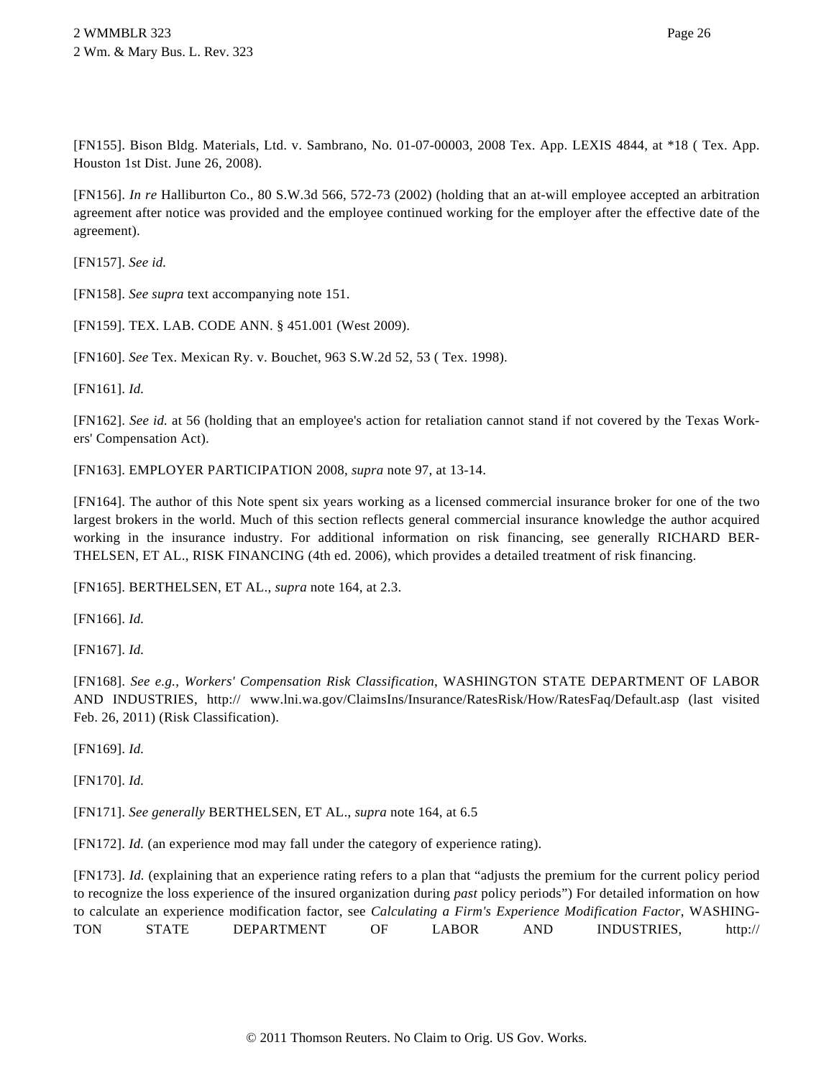[FN155]. Bison Bldg. Materials, Ltd. v. Sambrano, No. 01-07-00003, 2008 Tex. App. LEXIS 4844, at \*18 ( Tex. App. Houston 1st Dist. June 26, 2008).

[FN156]. *In re* Halliburton Co., 80 S.W.3d 566, 572-73 (2002) (holding that an at-will employee accepted an arbitration agreement after notice was provided and the employee continued working for the employer after the effective date of the agreement).

[FN157]. *See id.*

[FN158]. *See supra* text accompanying note 151.

[FN159]. TEX. LAB. CODE ANN. § 451.001 (West 2009).

[FN160]. *See* Tex. Mexican Ry. v. Bouchet, 963 S.W.2d 52, 53 ( Tex. 1998).

[FN161]. *Id.*

[FN162]. *See id.* at 56 (holding that an employee's action for retaliation cannot stand if not covered by the Texas Workers' Compensation Act).

[FN163]. EMPLOYER PARTICIPATION 2008, *supra* note 97, at 13-14.

[FN164]. The author of this Note spent six years working as a licensed commercial insurance broker for one of the two largest brokers in the world. Much of this section reflects general commercial insurance knowledge the author acquired working in the insurance industry. For additional information on risk financing, see generally RICHARD BER-THELSEN, ET AL., RISK FINANCING (4th ed. 2006), which provides a detailed treatment of risk financing.

[FN165]. BERTHELSEN, ET AL., *supra* note 164, at 2.3.

[FN166]. *Id.*

[FN167]. *Id.*

[FN168]. *See e.g.*, *Workers' Compensation Risk Classification*, WASHINGTON STATE DEPARTMENT OF LABOR AND INDUSTRIES, http:// www.lni.wa.gov/ClaimsIns/Insurance/RatesRisk/How/RatesFaq/Default.asp (last visited Feb. 26, 2011) (Risk Classification).

[FN169]. *Id.*

[FN170]. *Id.*

[FN171]. *See generally* BERTHELSEN, ET AL., *supra* note 164, at 6.5

[FN172]. *Id.* (an experience mod may fall under the category of experience rating).

[FN173]. *Id.* (explaining that an experience rating refers to a plan that "adjusts the premium for the current policy period to recognize the loss experience of the insured organization during *past* policy periods") For detailed information on how to calculate an experience modification factor, see *Calculating a Firm's Experience Modification Factor*, WASHING-TON STATE DEPARTMENT OF LABOR AND INDUSTRIES, http://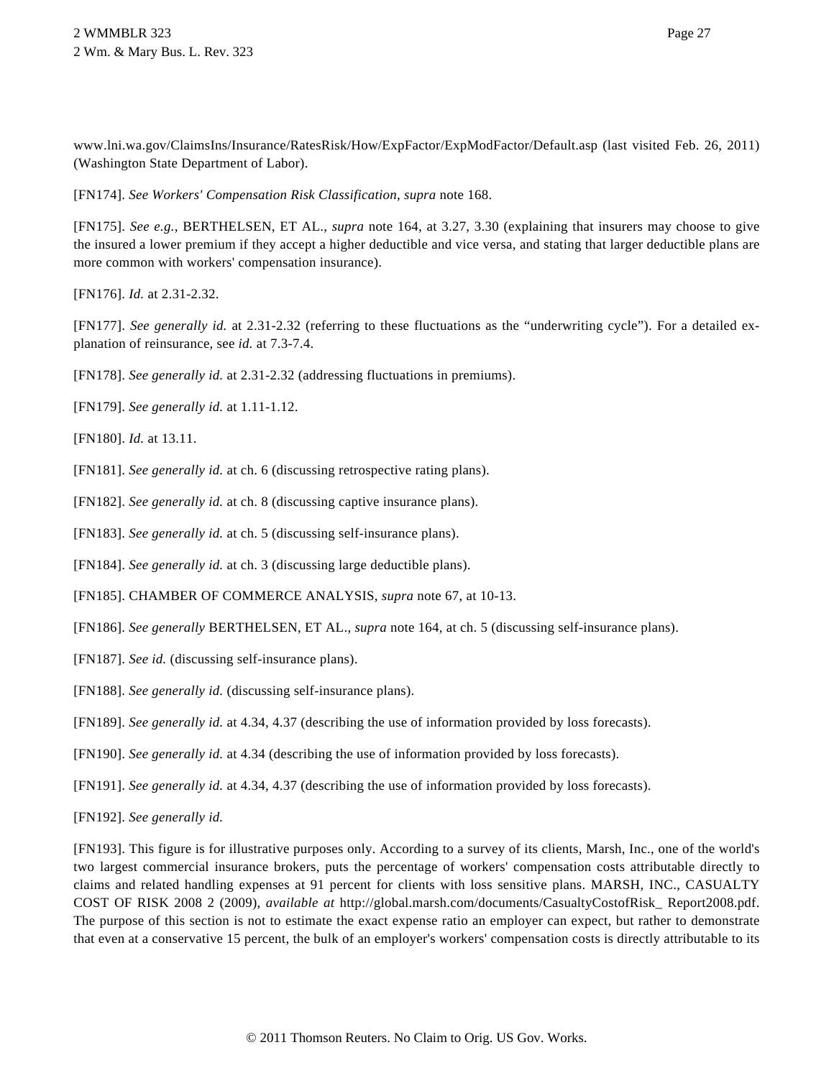www.lni.wa.gov/ClaimsIns/Insurance/RatesRisk/How/ExpFactor/ExpModFactor/Default.asp (last visited Feb. 26, 2011) (Washington State Department of Labor).

[FN174]. *See Workers' Compensation Risk Classification*, *supra* note 168.

[FN175]. *See e.g.*, BERTHELSEN, ET AL., *supra* note 164, at 3.27, 3.30 (explaining that insurers may choose to give the insured a lower premium if they accept a higher deductible and vice versa, and stating that larger deductible plans are more common with workers' compensation insurance).

[FN176]. *Id.* at 2.31-2.32.

[FN177]. See generally id. at 2.31-2.32 (referring to these fluctuations as the "underwriting cycle"). For a detailed explanation of reinsurance, see *id.* at 7.3-7.4.

[FN178]. *See generally id.* at 2.31-2.32 (addressing fluctuations in premiums).

[FN179]. *See generally id.* at 1.11-1.12.

[FN180]. *Id.* at 13.11.

[FN181]. *See generally id.* at ch. 6 (discussing retrospective rating plans).

[FN182]. *See generally id.* at ch. 8 (discussing captive insurance plans).

[FN183]. *See generally id.* at ch. 5 (discussing self-insurance plans).

[FN184]. *See generally id.* at ch. 3 (discussing large deductible plans).

[FN185]. CHAMBER OF COMMERCE ANALYSIS, *supra* note 67, at 10-13.

[FN186]. *See generally* BERTHELSEN, ET AL., *supra* note 164, at ch. 5 (discussing self-insurance plans).

[FN187]. *See id.* (discussing self-insurance plans).

[FN188]. *See generally id.* (discussing self-insurance plans).

[FN189]. *See generally id.* at 4.34, 4.37 (describing the use of information provided by loss forecasts).

[FN190]. *See generally id.* at 4.34 (describing the use of information provided by loss forecasts).

[FN191]. *See generally id.* at 4.34, 4.37 (describing the use of information provided by loss forecasts).

[FN192]. *See generally id.*

[FN193]. This figure is for illustrative purposes only. According to a survey of its clients, Marsh, Inc., one of the world's two largest commercial insurance brokers, puts the percentage of workers' compensation costs attributable directly to claims and related handling expenses at 91 percent for clients with loss sensitive plans. MARSH, INC., CASUALTY COST OF RISK 2008 2 (2009), *available at* http://global.marsh.com/documents/CasualtyCostofRisk\_ Report2008.pdf. The purpose of this section is not to estimate the exact expense ratio an employer can expect, but rather to demonstrate that even at a conservative 15 percent, the bulk of an employer's workers' compensation costs is directly attributable to its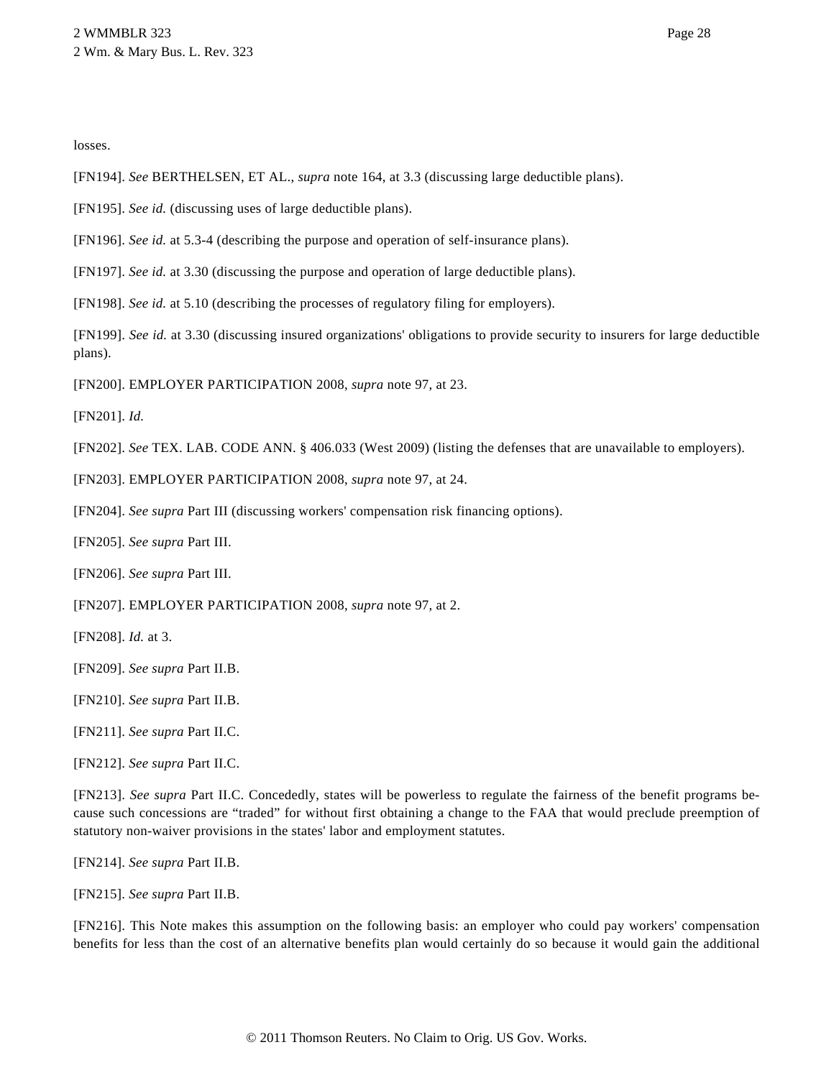losses.

- [FN194]. *See* BERTHELSEN, ET AL., *supra* note 164, at 3.3 (discussing large deductible plans).
- [FN195]. *See id.* (discussing uses of large deductible plans).
- [FN196]. *See id.* at 5.3-4 (describing the purpose and operation of self-insurance plans).

[FN197]. *See id.* at 3.30 (discussing the purpose and operation of large deductible plans).

[FN198]. *See id.* at 5.10 (describing the processes of regulatory filing for employers).

[FN199]. *See id.* at 3.30 (discussing insured organizations' obligations to provide security to insurers for large deductible plans).

[FN200]. EMPLOYER PARTICIPATION 2008, *supra* note 97, at 23.

[FN201]. *Id.*

[FN202]. *See* TEX. LAB. CODE ANN. § 406.033 (West 2009) (listing the defenses that are unavailable to employers).

[FN203]. EMPLOYER PARTICIPATION 2008, *supra* note 97, at 24.

[FN204]. *See supra* Part III (discussing workers' compensation risk financing options).

[FN205]. *See supra* Part III.

[FN206]. *See supra* Part III.

[FN207]. EMPLOYER PARTICIPATION 2008, *supra* note 97, at 2.

[FN208]. *Id.* at 3.

- [FN209]. *See supra* Part II.B.
- [FN210]. *See supra* Part II.B.
- [FN211]. *See supra* Part II.C.

[FN212]. *See supra* Part II.C.

[FN213]. *See supra* Part II.C. Concededly, states will be powerless to regulate the fairness of the benefit programs because such concessions are "traded" for without first obtaining a change to the FAA that would preclude preemption of statutory non-waiver provisions in the states' labor and employment statutes.

[FN214]. *See supra* Part II.B.

[FN215]. *See supra* Part II.B.

[FN216]. This Note makes this assumption on the following basis: an employer who could pay workers' compensation benefits for less than the cost of an alternative benefits plan would certainly do so because it would gain the additional